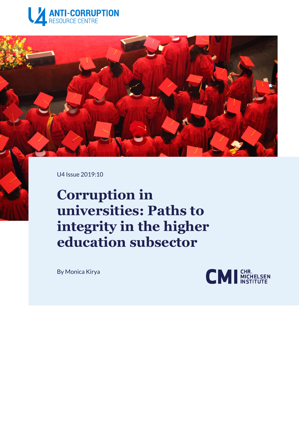



U4 Issue 2019:10

# **Corruption in universities: Paths to integrity in the higher education subsector**

By [Monica Kirya](https://www.u4.no/the-team/kirya)

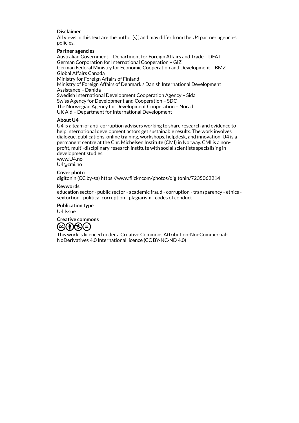#### **Disclaimer**

All views in this text are the author(s)', and may differ from the U4 partner agencies' policies.

#### **Partner agencies**

Australian Government – Department for Foreign Affairs and Trade – DFAT German Corporation for International Cooperation – GIZ German Federal Ministry for Economic Cooperation and Development – BMZ Global Affairs Canada Ministry for Foreign Affairs of Finland Ministry of Foreign Affairs of Denmark / Danish International Development Assistance – Danida Swedish International Development Cooperation Agency – Sida Swiss Agency for Development and Cooperation – SDC The Norwegian Agency for Development Cooperation – Norad UK Aid – Department for International Development

#### **About U4**

U4 is a team of anti-corruption advisers working to share research and evidence to help international development actors get sustainable results. The work involves dialogue, publications,online training, workshops,helpdesk, and innovation. U4 is a permanent centre at the Chr. Michelsen Institute (CMI) in Norway. CMI is a nonprofit, multi-disciplinary research institute with social scientists specialising in development studies.

www.U4.no U4@cmi.no

#### **Cover photo**

digitonin (CC by-sa) <https://www.flickr.com/photos/digitonin/7235062214>

#### **Keywords**

education sector - public sector - academic fraud - corruption - transparency - ethics sextortion - political corruption - plagiarism - codes of conduct

**Publication type** U4 Issue



This work is licenced under a Creative Commons Attribution-NonCommercial-NoDerivatives 4.0 International licence (CC BY-NC-ND 4.0)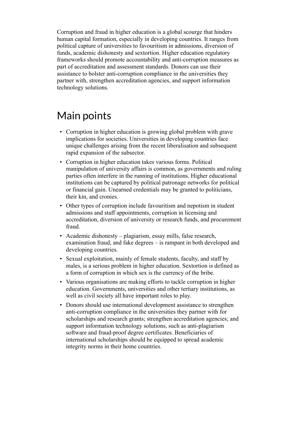Corruption and fraud in higher education is a global scourge that hinders human capital formation, especially in developing countries. It ranges from political capture of universities to favouritism in admissions, diversion of funds, academic dishonesty and sextortion. Higher education regulatory frameworks should promote accountability and anti-corruption measures as part of accreditation and assessment standards. Donors can use their assistance to bolster anti-corruption compliance in the universities they partner with, strengthen accreditation agencies, and support information technology solutions.

## Main points

- Corruption in higher education is growing global problem with grave implications for societies. Universities in developing countries face unique challenges arising from the recent liberalisation and subsequent rapid expansion of the subsector.
- Corruption in higher education takes various forms. Political manipulation of university affairs is common, as governments and ruling parties often interfere in the running of institutions. Higher educational institutions can be captured by political patronage networks for political or financial gain. Unearned credentials may be granted to politicians, their kin, and cronies.
- Other types of corruption include favouritism and nepotism in student admissions and staff appointments, corruption in licensing and accreditation, diversion of university or research funds, and procurement fraud.
- Academic dishonesty plagiarism, essay mills, false research, examination fraud, and fake degrees – is rampant in both developed and developing countries.
- Sexual exploitation, mainly of female students, faculty, and staff by males, is a serious problem in higher education. Sextortion is defined as a form of corruption in which sex is the currency of the bribe.
- Various organisations are making efforts to tackle corruption in higher education. Governments, universities and other tertiary institutions, as well as civil society all have important roles to play.
- Donors should use international development assistance to strengthen anti-corruption compliance in the universities they partner with for scholarships and research grants; strengthen accreditation agencies; and support information technology solutions, such as anti-plagiarism software and fraud-proof degree certificates. Beneficiaries of international scholarships should be equipped to spread academic integrity norms in their home countries.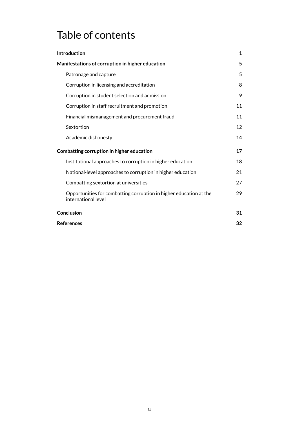## Table of contents

| <b>Introduction</b>                                                                       | $\mathbf{1}$ |
|-------------------------------------------------------------------------------------------|--------------|
| Manifestations of corruption in higher education                                          | 5            |
| Patronage and capture                                                                     | 5            |
| Corruption in licensing and accreditation                                                 | 8            |
| Corruption in student selection and admission                                             | 9            |
| Corruption in staff recruitment and promotion                                             | 11           |
| Financial mismanagement and procurement fraud                                             | 11           |
| Sextortion                                                                                | 12           |
| Academic dishonesty                                                                       | 14           |
| Combatting corruption in higher education                                                 | 17           |
| Institutional approaches to corruption in higher education                                | 18           |
| National-level approaches to corruption in higher education                               | 21           |
| Combatting sextortion at universities                                                     | 27           |
| Opportunities for combatting corruption in higher education at the<br>international level | 29           |
| Conclusion                                                                                | 31           |
| <b>References</b>                                                                         | 32           |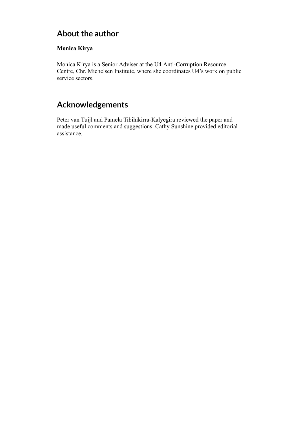## **About the author**

#### **Monica Kirya**

Monica Kirya is a Senior Adviser at the U4 Anti-Corruption Resource Centre, Chr. Michelsen Institute, where she coordinates U4's work on public service sectors.

## **Acknowledgements**

Peter van Tuijl and Pamela Tibihikirra-Kalyegira reviewed the paper and made useful comments and suggestions. Cathy Sunshine provided editorial assistance.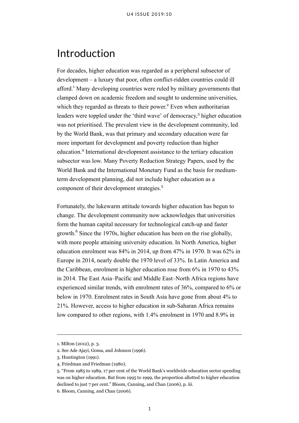## <span id="page-5-0"></span>Introduction

For decades, higher education was regarded as a peripheral subsector of development – a luxury that poor, often conflict-ridden countries could ill afford.<sup>1</sup> Many developing countries were ruled by military governments that clamped down on academic freedom and sought to undermine universities, which they regarded as threats to their power.<sup>2</sup> Even when authoritarian leaders were toppled under the 'third wave' of democracy, 3 higher education was not prioritised. The prevalent view in the development community, led by the World Bank, was that primary and secondary education were far more important for development and poverty reduction than higher education.<sup>4</sup> International development assistance to the tertiary education subsector was low. Many Poverty Reduction Strategy Papers, used by the World Bank and the International Monetary Fund as the basis for mediumterm development planning, did not include higher education as a component of their development strategies.<sup>5</sup>

Fortunately, the lukewarm attitude towards higher education has begun to change. The development community now acknowledges that universities form the human capital necessary for technological catch-up and faster growth.<sup>6</sup> Since the 1970s, higher education has been on the rise globally, with more people attaining university education. In North America, higher education enrolment was 84% in 2014, up from 47% in 1970. It was 62% in Europe in 2014, nearly double the 1970 level of 33%. In Latin America and the Caribbean, enrolment in higher education rose from 6% in 1970 to 43% in 2014. The East Asia–Pacific and Middle East–North Africa regions have experienced similar trends, with enrolment rates of 36%, compared to 6% or below in 1970. Enrolment rates in South Asia have gone from about 4% to 21%. However, access to higher education in sub-Saharan Africa remains low compared to other regions, with 1.4% enrolment in 1970 and 8.9% in

<sup>1.</sup> Milton (2012), p. 3.

<sup>2.</sup> See Ade Ajayi, Goma, and Johnson (1996).

<sup>3.</sup> Huntington (1991).

<sup>4.</sup> Friedman and Friedman (1980).

<sup>5.</sup> "From 1985 to 1989, 17 per cent of the World Bank's worldwide education sector spending was on higher education. But from 1995 to 1999, the proportion allotted to higher education declined to just 7 per cent." Bloom, Canning, and Chan (2006), p. iii.

<sup>6.</sup> Bloom, Canning, and Chan (2006).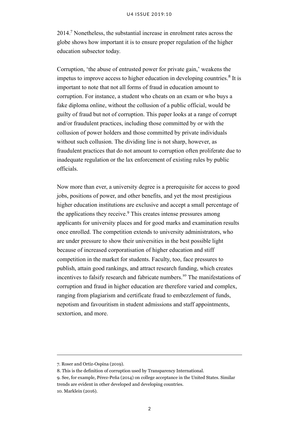2014.<sup>7</sup> Nonetheless, the substantial increase in enrolment rates across the globe shows how important it is to ensure proper regulation of the higher education subsector today.

Corruption, 'the abuse of entrusted power for private gain,' weakens the impetus to improve access to higher education in developing countries.<sup>8</sup> It is important to note that not all forms of fraud in education amount to corruption. For instance, a student who cheats on an exam or who buys a fake diploma online, without the collusion of a public official, would be guilty of fraud but not of corruption. This paper looks at a range of corrupt and/or fraudulent practices, including those committed by or with the collusion of power holders and those committed by private individuals without such collusion. The dividing line is not sharp, however, as fraudulent practices that do not amount to corruption often proliferate due to inadequate regulation or the lax enforcement of existing rules by public officials.

Now more than ever, a university degree is a prerequisite for access to good jobs, positions of power, and other benefits, and yet the most prestigious higher education institutions are exclusive and accept a small percentage of the applications they receive.<sup>9</sup> This creates intense pressures among applicants for university places and for good marks and examination results once enrolled. The competition extends to university administrators, who are under pressure to show their universities in the best possible light because of increased corporatisation of higher education and stiff competition in the market for students. Faculty, too, face pressures to publish, attain good rankings, and attract research funding, which creates incentives to falsify research and fabricate numbers.<sup>10</sup> The manifestations of corruption and fraud in higher education are therefore varied and complex, ranging from plagiarism and certificate fraud to embezzlement of funds, nepotism and favouritism in student admissions and staff appointments, sextortion, and more.

<sup>7.</sup> Roser and Ortiz-Ospina (2019).

<sup>8.</sup> This is the definition of corruption used by [Transparency International.](https://www.transparency.org/what-is-corruption)

<sup>9.</sup> See, for example, Pérez-Peña (2014) on college acceptance in the United States. Similar trends are evident in other developed and developing countries.

<sup>10.</sup> Marklein (2016).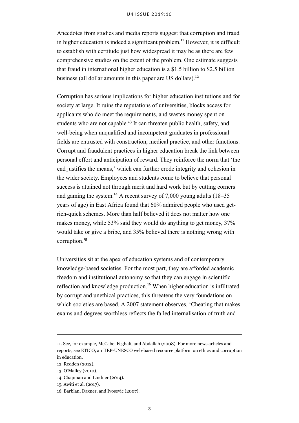#### U4 ISSUE 2019:10

Anecdotes from studies and media reports suggest that corruption and fraud in higher education is indeed a significant problem.<sup>11</sup> However, it is difficult to establish with certitude just how widespread it may be as there are few comprehensive studies on the extent of the problem. One estimate suggests that fraud in international higher education is a \$1.5 billion to \$2.5 billion business (all dollar amounts in this paper are US dollars).<sup>12</sup>

Corruption has serious implications for higher education institutions and for society at large. It ruins the reputations of universities, blocks access for applicants who do meet the requirements, and wastes money spent on students who are not capable.<sup>13</sup> It can threaten public health, safety, and well-being when unqualified and incompetent graduates in professional fields are entrusted with construction, medical practice, and other functions. Corrupt and fraudulent practices in higher education break the link between personal effort and anticipation of reward. They reinforce the norm that 'the end justifies the means,' which can further erode integrity and cohesion in the wider society. Employees and students come to believe that personal success is attained not through merit and hard work but by cutting corners and gaming the system.<sup>14</sup> A recent survey of 7,000 young adults  $(18–35)$ years of age) in East Africa found that 60% admired people who used getrich-quick schemes. More than half believed it does not matter how one makes money, while 53% said they would do anything to get money, 37% would take or give a bribe, and 35% believed there is nothing wrong with corruption.<sup>15</sup>

Universities sit at the apex of education systems and of contemporary knowledge-based societies. For the most part, they are afforded academic freedom and institutional autonomy so that they can engage in scientific reflection and knowledge production.<sup>16</sup> When higher education is infiltrated by corrupt and unethical practices, this threatens the very foundations on which societies are based. A 2007 statement observes, 'Cheating that makes exams and degrees worthless reflects the failed internalisation of truth and

<sup>11.</sup> See, for example, McCabe, Feghali, and Abdallah (2008). For more news articles and reports, see [ETICO,](http://etico.iiep.unesco.org/en) an IIEP-UNESCO web-based resource platform on ethics and corruption in education.

<sup>12.</sup> Redden (2012).

<sup>13.</sup> O'Malley (2010).

<sup>14.</sup> Chapman and Lindner (2014).

<sup>15.</sup> Awiti et al. (2017).

<sup>16.</sup> Barblan, Daxner, and Ivosevic (2007).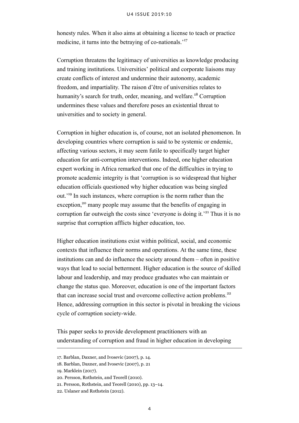honesty rules. When it also aims at obtaining a license to teach or practice medicine, it turns into the betraying of co-nationals.<sup>'17</sup>

Corruption threatens the legitimacy of universities as knowledge producing and training institutions. Universities' political and corporate liaisons may create conflicts of interest and undermine their autonomy, academic freedom, and impartiality. The raison d'être of universities relates to humanity's search for truth, order, meaning, and welfare.<sup>18</sup> Corruption undermines these values and therefore poses an existential threat to universities and to society in general.

Corruption in higher education is, of course, not an isolated phenomenon. In developing countries where corruption is said to be systemic or endemic, affecting various sectors, it may seem futile to specifically target higher education for anti-corruption interventions. Indeed, one higher education expert working in Africa remarked that one of the difficulties in trying to promote academic integrity is that 'corruption is so widespread that higher education officials questioned why higher education was being singled out.'<sup>19</sup> In such instances, where corruption is the norm rather than the exception,<sup>20</sup> many people may assume that the benefits of engaging in corruption far outweigh the costs since 'everyone is doing it.'<sup>21</sup> Thus it is no surprise that corruption afflicts higher education, too.

Higher education institutions exist within political, social, and economic contexts that influence their norms and operations. At the same time, these institutions can and do influence the society around them – often in positive ways that lead to social betterment. Higher education is the source of skilled labour and leadership, and may produce graduates who can maintain or change the status quo. Moreover, education is one of the important factors that can increase social trust and overcome collective action problems. $22$ Hence, addressing corruption in this sector is pivotal in breaking the vicious cycle of corruption society-wide.

This paper seeks to provide development practitioners with an understanding of corruption and fraud in higher education in developing

<sup>17.</sup> Barblan, Daxner, and Ivosevic (2007), p. 14.

<sup>18.</sup> Barblan, Daxner, and Ivosevic (2007), p. 21

<sup>19.</sup> Marklein (2017).

<sup>20.</sup> Persson, Rothstein, and Teorell (2010).

<sup>21.</sup> Persson, Rothstein, and Teorell (2010), pp. 13–14.

<sup>22.</sup> Uslaner and Rothstein (2012).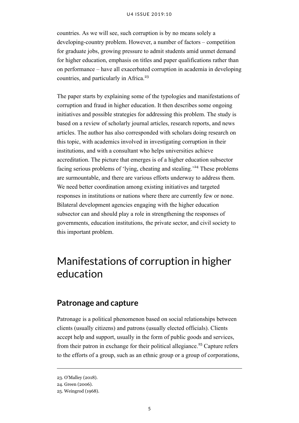countries. As we will see, such corruption is by no means solely a developing-country problem. However, a number of factors – competition for graduate jobs, growing pressure to admit students amid unmet demand for higher education, emphasis on titles and paper qualifications rather than on performance – have all exacerbated corruption in academia in developing countries, and particularly in Africa.<sup>23</sup>

The paper starts by explaining some of the typologies and manifestations of corruption and fraud in higher education. It then describes some ongoing initiatives and possible strategies for addressing this problem. The study is based on a review of scholarly journal articles, research reports, and news articles. The author has also corresponded with scholars doing research on this topic, with academics involved in investigating corruption in their institutions, and with a consultant who helps universities achieve accreditation. The picture that emerges is of a higher education subsector facing serious problems of 'lying, cheating and stealing.'<sup>24</sup> These problems are surmountable, and there are various efforts underway to address them. We need better coordination among existing initiatives and targeted responses in institutions or nations where there are currently few or none. Bilateral development agencies engaging with the higher education subsector can and should play a role in strengthening the responses of governments, education institutions, the private sector, and civil society to this important problem.

## <span id="page-9-0"></span>Manifestations of corruption in higher education

### <span id="page-9-1"></span>**Patronage and capture**

Patronage is a political phenomenon based on social relationships between clients (usually citizens) and patrons (usually elected officials). Clients accept help and support, usually in the form of public goods and services, from their patron in exchange for their political allegiance.<sup>25</sup> Capture refers to the efforts of a group, such as an ethnic group or a group of corporations,

<sup>23.</sup> O'Malley (2018).

<sup>24.</sup> Green (2006).

<sup>25.</sup> Weingrod (1968).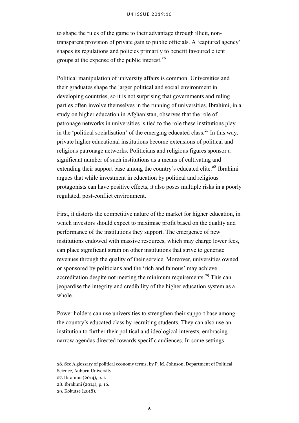#### U4 ISSUE 2019:10

to shape the rules of the game to their advantage through illicit, nontransparent provision of private gain to public officials. A 'captured agency' shapes its regulations and policies primarily to benefit favoured client groups at the expense of the public interest.<sup>26</sup>

Political manipulation of university affairs is common. Universities and their graduates shape the larger political and social environment in developing countries, so it is not surprising that governments and ruling parties often involve themselves in the running of universities. Ibrahimi, in a study on higher education in Afghanistan, observes that the role of patronage networks in universities is tied to the role these institutions play in the 'political socialisation' of the emerging educated class.<sup>27</sup> In this way, private higher educational institutions become extensions of political and religious patronage networks. Politicians and religious figures sponsor a significant number of such institutions as a means of cultivating and extending their support base among the country's educated elite.<sup>28</sup> Ibrahimi argues that while investment in education by political and religious protagonists can have positive effects, it also poses multiple risks in a poorly regulated, post-conflict environment.

First, it distorts the competitive nature of the market for higher education, in which investors should expect to maximise profit based on the quality and performance of the institutions they support. The emergence of new institutions endowed with massive resources, which may charge lower fees, can place significant strain on other institutions that strive to generate revenues through the quality of their service. Moreover, universities owned or sponsored by politicians and the 'rich and famous' may achieve accreditation despite not meeting the minimum requirements.<sup>29</sup> This can jeopardise the integrity and credibility of the higher education system as a whole.

Power holders can use universities to strengthen their support base among the country's educated class by recruiting students. They can also use an institution to further their political and ideological interests, embracing narrow agendas directed towards specific audiences. In some settings

<sup>26.</sup> See [A glossary of political economy terms,](http://www.auburn.edu/~johnspm/gloss/captured_agency) by P. M. Johnson, Department of Political Science, Auburn University.

<sup>27.</sup> Ibrahimi (2014), p. 1.

<sup>28.</sup> Ibrahimi (2014), p. 16.

<sup>29.</sup> Kokutse (2018).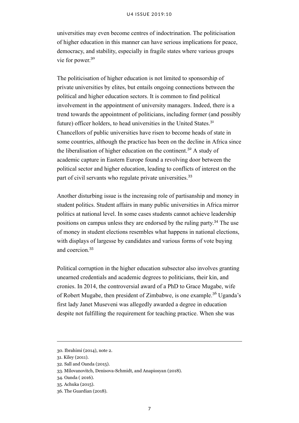universities may even become centres of indoctrination. The politicisation of higher education in this manner can have serious implications for peace, democracy, and stability, especially in fragile states where various groups vie for power.<sup>30</sup>

The politicisation of higher education is not limited to sponsorship of private universities by elites, but entails ongoing connections between the political and higher education sectors. It is common to find political involvement in the appointment of university managers. Indeed, there is a trend towards the appointment of politicians, including former (and possibly future) officer holders, to head universities in the United States.<sup>31</sup> Chancellors of public universities have risen to become heads of state in some countries, although the practice has been on the decline in Africa since the liberalisation of higher education on the continent.<sup>32</sup> A study of academic capture in Eastern Europe found a revolving door between the political sector and higher education, leading to conflicts of interest on the part of civil servants who regulate private universities.<sup>33</sup>

Another disturbing issue is the increasing role of partisanship and money in student politics. Student affairs in many public universities in Africa mirror politics at national level. In some cases students cannot achieve leadership positions on campus unless they are endorsed by the ruling party.<sup>34</sup> The use of money in student elections resembles what happens in national elections, with displays of largesse by candidates and various forms of vote buying and coercion<sup>35</sup>

Political corruption in the higher education subsector also involves granting unearned credentials and academic degrees to politicians, their kin, and cronies. In 2014, the controversial award of a PhD to Grace Mugabe, wife of Robert Mugabe, then president of Zimbabwe, is one example.<sup>36</sup> Uganda's first lady Janet Museveni was allegedly awarded a degree in education despite not fulfilling the requirement for teaching practice. When she was

<sup>30.</sup> Ibrahimi (2014), note 2.

<sup>31.</sup> Kiley (2011).

<sup>32.</sup> Sall and Oanda (2015).

<sup>33.</sup> Milovanovitch, Denisova-Schmidt, and Anapiosyan (2018).

<sup>34.</sup> Oanda ( 2016).

<sup>35.</sup> Achuka (2015).

<sup>36.</sup> The Guardian (2018).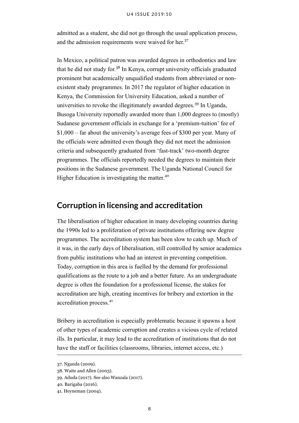admitted as a student, she did not go through the usual application process, and the admission requirements were waived for her.<sup>37</sup>

In Mexico, a political patron was awarded degrees in orthodontics and law that he did not study for.<sup>38</sup> In Kenya, corrupt university officials graduated prominent but academically unqualified students from abbreviated or nonexistent study programmes. In 2017 the regulator of higher education in Kenya, the Commission for University Education, asked a number of universities to revoke the illegitimately awarded degrees.<sup>39</sup> In Uganda, Busoga University reportedly awarded more than 1,000 degrees to (mostly) Sudanese government officials in exchange for a 'premium-tuition' fee of \$1,000 – far about the university's average fees of \$300 per year. Many of the officials were admitted even though they did not meet the admission criteria and subsequently graduated from 'fast-track' two-month degree programmes. The officials reportedly needed the degrees to maintain their positions in the Sudanese government. The Uganda National Council for Higher Education is investigating the matter.<sup>40</sup>

### <span id="page-12-0"></span>**Corruption in licensing and accreditation**

The liberalisation of higher education in many developing countries during the 1990s led to a proliferation of private institutions offering new degree programmes. The accreditation system has been slow to catch up. Much of it was, in the early days of liberalisation, still controlled by senior academics from public institutions who had an interest in preventing competition. Today, corruption in this area is fuelled by the demand for professional qualifications as the route to a job and a better future. As an undergraduate degree is often the foundation for a professional license, the stakes for accreditation are high, creating incentives for bribery and extortion in the accreditation process.<sup>41</sup>

Bribery in accreditation is especially problematic because it spawns a host of other types of academic corruption and creates a vicious cycle of related ills. In particular, it may lead to the accreditation of institutions that do not have the staff or facilities (classrooms, libraries, internet access, etc.)

<sup>37.</sup> Nganda (2009).

<sup>38.</sup> Waite and Allen (2003).

<sup>39.</sup> Aduda (2017). See also Wanzala (2017).

<sup>40.</sup> Barigaba (2016).

<sup>41.</sup> Heyneman (2004).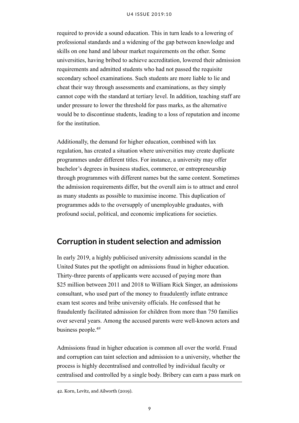#### U4 ISSUE 2019:10

required to provide a sound education. This in turn leads to a lowering of professional standards and a widening of the gap between knowledge and skills on one hand and labour market requirements on the other. Some universities, having bribed to achieve accreditation, lowered their admission requirements and admitted students who had not passed the requisite secondary school examinations. Such students are more liable to lie and cheat their way through assessments and examinations, as they simply cannot cope with the standard at tertiary level. In addition, teaching staff are under pressure to lower the threshold for pass marks, as the alternative would be to discontinue students, leading to a loss of reputation and income for the institution.

Additionally, the demand for higher education, combined with lax regulation, has created a situation where universities may create duplicate programmes under different titles. For instance, a university may offer bachelor's degrees in business studies, commerce, or entrepreneurship through programmes with different names but the same content. Sometimes the admission requirements differ, but the overall aim is to attract and enrol as many students as possible to maximise income. This duplication of programmes adds to the oversupply of unemployable graduates, with profound social, political, and economic implications for societies.

## <span id="page-13-0"></span>**Corruption in student selection and admission**

In early 2019, a highly publicised university admissions scandal in the United States put the spotlight on admissions fraud in higher education. Thirty-three parents of applicants were accused of paying more than \$25 million between 2011 and 2018 to William Rick Singer, an admissions consultant, who used part of the money to [fraudulently](https://en.wikipedia.org/wiki/Fraud) inflate entrance exam test scores and [bribe](https://en.wikipedia.org/wiki/Bribery) university officials. He confessed that he fraudulently facilitated admission for children from more than 750 families over several years. Among the accused parents were well-known actors and business people.<sup>42</sup>

Admissions fraud in higher education is common all over the world. Fraud and corruption can taint selection and admission to a university, whether the process is highly decentralised and controlled by individual faculty or centralised and controlled by a single body. Bribery can earn a pass mark on

42. Korn, Levitz, and Ailworth (2019).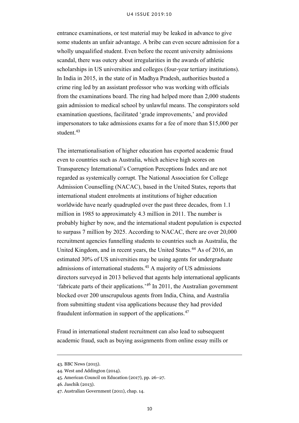#### U4 ISSUE 2019:10

entrance examinations, or test material may be leaked in advance to give some students an unfair advantage. A bribe can even secure admission for a wholly unqualified student. Even before the recent university admissions scandal, there was outcry about irregularities in the awards of athletic scholarships in US universities and colleges (four-year tertiary institutions). In India in 2015, in the state of in Madhya Pradesh, authorities busted a crime ring led by an assistant professor who was working with officials from the examinations board. The ring had helped more than 2,000 students gain admission to medical school by unlawful means. The conspirators sold examination questions, facilitated 'grade improvements,' and provided impersonators to take admissions exams for a fee of more than \$15,000 per student.<sup>43</sup>

The internationalisation of higher education has exported academic fraud even to countries such as Australia, which achieve high scores on Transparency International's Corruption Perceptions Index and are not regarded as systemically corrupt. The National Association for College Admission Counselling (NACAC), based in the United States, reports that international student enrolments at institutions of higher education worldwide have nearly quadrupled over the past three decades, from 1.1 million in 1985 to approximately 4.3 million in 2011. The number is probably higher by now, and the international student population is expected to surpass 7 million by 2025. According to NACAC, there are over 20,000 recruitment agencies funnelling students to countries such as Australia, the United Kingdom, and in recent years, the United States.<sup>44</sup> As of 2016, an estimated 30% of US universities may be using agents for undergraduate admissions of international students.<sup>45</sup> A majority of US admissions directors surveyed in 2013 believed that agents help international applicants 'fabricate parts of their applications.'<sup>46</sup> In 2011, the Australian government blocked over 200 unscrupulous agents from India, China, and Australia from submitting student visa applications because they had provided fraudulent information in support of the applications.<sup>47</sup>

Fraud in international student recruitment can also lead to subsequent academic fraud, such as buying assignments from online essay mills or

<sup>43.</sup> BBC News (2015).

<sup>44.</sup> West and Addington (2014).

<sup>45.</sup> American Council on Education (2017), pp. 26–27.

<sup>46.</sup> Jaschik (2013).

<sup>47.</sup> Australian Government (2011), chap. 14.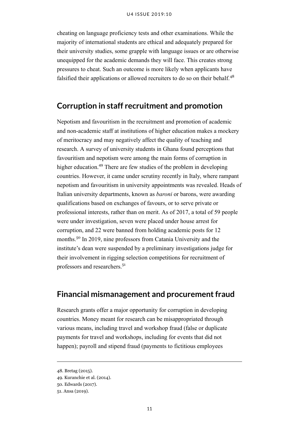cheating on language proficiency tests and other examinations. While the majority of international students are ethical and adequately prepared for their university studies, some grapple with language issues or are otherwise unequipped for the academic demands they will face. This creates strong pressures to cheat. Such an outcome is more likely when applicants have falsified their applications or allowed recruiters to do so on their behalf.<sup>48</sup>

## <span id="page-15-0"></span>**Corruption in staff recruitment and promotion**

Nepotism and favouritism in the recruitment and promotion of academic and non-academic staff at institutions of higher education makes a mockery of meritocracy and may negatively affect the quality of teaching and research. A survey of university students in Ghana found perceptions that favouritism and nepotism were among the main forms of corruption in higher education.<sup>49</sup> There are few studies of the problem in developing countries. However, it came under scrutiny recently in Italy, where rampant nepotism and favouritism in university appointments was revealed. Heads of Italian university departments, known as *baroni* or barons, were awarding qualifications based on exchanges of favours, or to serve private or professional interests, rather than on merit. As of 2017, a total of 59 people were under investigation, seven were placed under house arrest for corruption, and 22 were banned from holding academic posts for 12 months.<sup>50</sup> In 2019, nine professors from Catania University and the institute's dean were suspended by a preliminary investigations judge for their involvement in rigging selection competitions for recruitment of professors and researchers.<sup>51</sup>

### <span id="page-15-1"></span>**Financial mismanagement and procurement fraud**

Research grants offer a major opportunity for corruption in developing countries. Money meant for research can be misappropriated through various means, including travel and workshop fraud (false or duplicate payments for travel and workshops, including for events that did not happen); payroll and stipend fraud (payments to fictitious employees

<sup>48.</sup> Bretag (2015).

<sup>49.</sup> Kuranchie et al. (2014).

<sup>50.</sup> Edwards (2017).

<sup>51.</sup> Ansa (2019).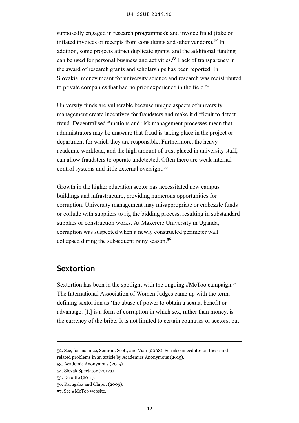#### U4 ISSUE 2019:10

supposedly engaged in research programmes); and invoice fraud (fake or inflated invoices or receipts from consultants and other vendors).<sup>52</sup> In addition, some projects attract duplicate grants, and the additional funding can be used for personal business and activities.<sup>53</sup> Lack of transparency in the award of research grants and scholarships has been reported. In Slovakia, money meant for university science and research was redistributed to private companies that had no prior experience in the field.<sup>54</sup>

University funds are vulnerable because unique aspects of university management create incentives for fraudsters and make it difficult to detect fraud. Decentralised functions and risk management processes mean that administrators may be unaware that fraud is taking place in the project or department for which they are responsible. Furthermore, the heavy academic workload, and the high amount of trust placed in university staff, can allow fraudsters to operate undetected. Often there are weak internal control systems and little external oversight.<sup>55</sup>

Growth in the higher education sector has necessitated new campus buildings and infrastructure, providing numerous opportunities for corruption. University management may misappropriate or embezzle funds or collude with suppliers to rig the bidding process, resulting in substandard supplies or construction works. At Makerere University in Uganda, corruption was suspected when a newly constructed perimeter wall collapsed during the subsequent rainy season.<sup>56</sup>

### <span id="page-16-0"></span>**Sextortion**

Sextortion has been in the spotlight with the ongoing #MeToo campaign.<sup>57</sup> The International Association of Women Judges came up with the term, defining sextortion as 'the abuse of power to obtain a sexual benefit or advantage. [It] is a form of corruption in which sex, rather than money, is the currency of the bribe. It is not limited to certain countries or sectors, but

<sup>52.</sup> See, for instance, Semrau, Scott, and Vian (2008). See also anecdotes on these and related problems in an article by Academics Anonymous (2015).

<sup>53.</sup> Academic Anonymous (2015).

<sup>54.</sup> Slovak Spectator (2017a).

<sup>55.</sup> Deloitte (2011).

<sup>56.</sup> Karugaba and Olupot (2009).

<sup>57.</sup> See #MeToo [website.](https://metoomvmt.org/)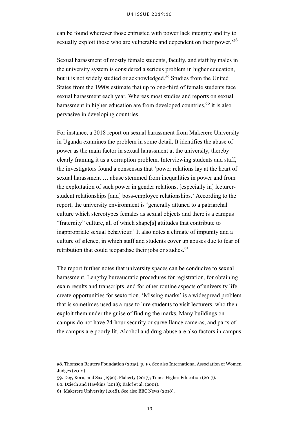#### U4 ISSUE 2019:10

can be found wherever those entrusted with power lack integrity and try to sexually exploit those who are vulnerable and dependent on their power.<sup>58</sup>

Sexual harassment of mostly female students, faculty, and staff by males in the university system is considered a serious problem in higher education, but it is not widely studied or acknowledged.<sup>59</sup> Studies from the United States from the 1990s estimate that up to one-third of female students face sexual harassment each year. Whereas most studies and reports on sexual harassment in higher education are from developed countries,<sup>60</sup> it is also pervasive in developing countries.

For instance, a 2018 report on sexual harassment from Makerere University in Uganda examines the problem in some detail. It identifies the abuse of power as the main factor in sexual harassment at the university, thereby clearly framing it as a corruption problem. Interviewing students and staff, the investigators found a consensus that 'power relations lay at the heart of sexual harassment … abuse stemmed from inequalities in power and from the exploitation of such power in gender relations, [especially in] lecturerstudent relationships [and] boss-employee relationships.' According to the report, the university environment is 'generally attuned to a patriarchal culture which stereotypes females as sexual objects and there is a campus "fraternity" culture, all of which shape[s] attitudes that contribute to inappropriate sexual behaviour.' It also notes a climate of impunity and a culture of silence, in which staff and students cover up abuses due to fear of retribution that could jeopardise their jobs or studies.<sup>61</sup>

The report further notes that university spaces can be conducive to sexual harassment. Lengthy bureaucratic procedures for registration, for obtaining exam results and transcripts, and for other routine aspects of university life create opportunities for sextortion. 'Missing marks' is a widespread problem that is sometimes used as a ruse to lure students to visit lecturers, who then exploit them under the guise of finding the marks. Many buildings on campus do not have 24-hour security or surveillance cameras, and parts of the campus are poorly lit. Alcohol and drug abuse are also factors in campus

<sup>58.</sup> Thomson Reuters Foundation (2015), p. 19. See also International Association of Women Judges (2012).

<sup>59.</sup> Dey, Korn, and Sax (1996); Flaherty (2017); Times Higher Education (2017).

<sup>60.</sup> Dziech and Hawkins (2018); Kalof et al. (2001).

<sup>61.</sup> Makerere University (2018). See also BBC News (2018).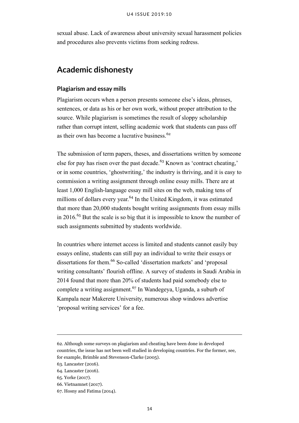sexual abuse. Lack of awareness about university sexual harassment policies and procedures also prevents victims from seeking redress.

## <span id="page-18-0"></span>**Academic dishonesty**

#### **Plagiarism and essay mills**

Plagiarism occurs when a person presents someone else's ideas, phrases, sentences, or data as his or her own work, without proper attribution to the source. While plagiarism is sometimes the result of sloppy scholarship rather than corrupt intent, selling academic work that students can pass off as their own has become a lucrative business.<sup>62</sup>

The submission of term papers, theses, and dissertations written by someone else for pay has risen over the past decade.<sup>63</sup> Known as 'contract cheating,' or in some countries, 'ghostwriting,' the industry is thriving, and it is easy to commission a writing assignment through online essay mills. There are at least 1,000 English-language essay mill sites on the web, making tens of millions of dollars every year.<sup>64</sup> In the United Kingdom, it was estimated that more than 20,000 students bought writing assignments from essay mills in 2016.<sup>65</sup> But the scale is so big that it is impossible to know the number of such assignments submitted by students worldwide.

In countries where internet access is limited and students cannot easily buy essays online, students can still pay an individual to write their essays or dissertations for them.<sup>66</sup> So-called 'dissertation markets' and 'proposal writing consultants' flourish offline. A survey of students in Saudi Arabia in 2014 found that more than 20% of students had paid somebody else to complete a writing assignment.<sup>67</sup> In Wandegeya, Uganda, a suburb of Kampala near Makerere University, numerous shop windows advertise 'proposal writing services' for a fee.

<sup>62.</sup> Although some surveys on plagiarism and cheating have been done in developed countries, the issue has not been well studied in developing countries. For the former, see, for example, Brimble and Stevenson-Clarke (2005).

<sup>63.</sup> Lancaster (2016).

<sup>64.</sup> Lancaster (2016).

<sup>65.</sup> Yorke (2017).

<sup>66.</sup> Vietnamnet (2017).

<sup>67.</sup> Hosny and Fatima (2014).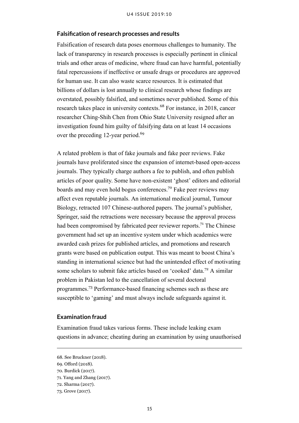#### **Falsification of research processes and results**

Falsification of research data poses enormous challenges to humanity. The lack of transparency in research processes is especially pertinent in clinical trials and other areas of medicine, where fraud can have harmful, potentially fatal repercussions if ineffective or unsafe drugs or procedures are approved for human use. It can also waste scarce resources. It is estimated that billions of dollars is lost annually to clinical research whose findings are overstated, possibly falsified, and sometimes never published. Some of this research takes place in university contexts.<sup>68</sup> For instance, in 2018, cancer researcher Ching-Shih Chen from Ohio State University resigned after an investigation found him guilty of falsifying data on at least 14 occasions over the preceding 12-year period.<sup>69</sup>

A related problem is that of fake journals and fake peer reviews. Fake journals have proliferated since the expansion of internet-based open-access journals. They typically charge authors a fee to publish, and often publish articles of poor quality. Some have non-existent 'ghost' editors and editorial boards and may even hold bogus conferences.<sup>70</sup> Fake peer reviews may affect even reputable journals. An international medical journal, Tumour Biology, retracted 107 Chinese-authored papers. The journal's publisher, Springer, said the retractions were necessary because the approval process had been compromised by fabricated peer reviewer reports.<sup>71</sup> The Chinese government had set up an incentive system under which academics were awarded cash prizes for published articles, and promotions and research grants were based on publication output. This was meant to boost China's standing in international science but had the unintended effect of motivating some scholars to submit fake articles based on 'cooked' data.<sup>72</sup> A similar problem in Pakistan led to the cancellation of several doctoral programmes.<sup>73</sup> Performance-based financing schemes such as these are susceptible to 'gaming' and must always include safeguards against it.

#### **Examination fraud**

Examination fraud takes various forms. These include leaking exam questions in advance; cheating during an examination by using unauthorised

<sup>68.</sup> See Bruckner (2018).

<sup>69.</sup> Offord (2018).

<sup>70.</sup> Burdick (2017).

<sup>71.</sup> Yang and Zhang (2017).

<sup>72.</sup> Sharma (2017).

<sup>73.</sup> Grove (2017).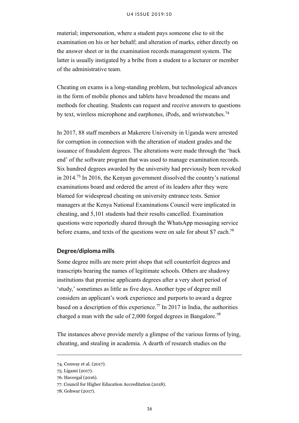material; impersonation, where a student pays someone else to sit the examination on his or her behalf; and alteration of marks, either directly on the answer sheet or in the examination records management system. The latter is usually instigated by a bribe from a student to a lecturer or member of the administrative team.

Cheating on exams is a long-standing problem, but technological advances in the form of mobile phones and tablets have broadened the means and methods for cheating. Students can request and receive answers to questions by text, wireless microphone and earphones, iPods, and wristwatches.<sup>74</sup>

In 2017, 88 staff members at Makerere University in Uganda were arrested for corruption in connection with the alteration of student grades and the issuance of fraudulent degrees. The alterations were made through the 'back end' of the software program that was used to manage examination records. Six hundred degrees awarded by the university had previously been revoked in 2014.<sup>75</sup> In 2016, the Kenyan government dissolved the country's national examinations board and ordered the arrest of its leaders after they were blamed for widespread cheating on university entrance tests. Senior managers at the Kenya National Examinations Council were implicated in cheating, and 5,101 students had their results cancelled. Examination questions were reportedly shared through the WhatsApp messaging service before exams, and texts of the questions were on sale for about \$7 each.<sup>76</sup>

#### **Degree/diploma mills**

Some degree mills are mere print shops that sell counterfeit degrees and transcripts bearing the names of legitimate schools. Others are shadowy institutions that promise applicants degrees after a very short period of 'study,' sometimes as little as five days. Another type of degree mill considers an applicant's work experience and purports to award a degree based on a description of this experience.<sup>77</sup> In 2017 in India, the authorities charged a man with the sale of 2,000 forged degrees in Bangalore.<sup>78</sup>

The instances above provide merely a glimpse of the various forms of lying, cheating, and stealing in academia. A dearth of research studies on the

<sup>74.</sup> Conway et al. (2017).

<sup>75.</sup> Ligami (2017).

<sup>76.</sup> Havergal (2016).

<sup>77.</sup> Council for Higher Education Accreditation (2018).

<sup>78.</sup> Gohwar (2017).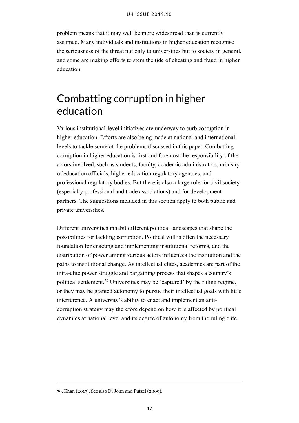problem means that it may well be more widespread than is currently assumed. Many individuals and institutions in higher education recognise the seriousness of the threat not only to universities but to society in general, and some are making efforts to stem the tide of cheating and fraud in higher education.

## <span id="page-21-0"></span>Combatting corruption in higher education

Various institutional-level initiatives are underway to curb corruption in higher education. Efforts are also being made at national and international levels to tackle some of the problems discussed in this paper. Combatting corruption in higher education is first and foremost the responsibility of the actors involved, such as students, faculty, academic administrators, ministry of education officials, higher education regulatory agencies, and professional regulatory bodies. But there is also a large role for civil society (especially professional and trade associations) and for development partners. The suggestions included in this section apply to both public and private universities.

Different universities inhabit different political landscapes that shape the possibilities for tackling corruption. Political will is often the necessary foundation for enacting and implementing institutional reforms, and the distribution of power among various actors influences the institution and the paths to institutional change. As intellectual elites, academics are part of the intra-elite power struggle and bargaining process that shapes a country's political settlement.<sup>79</sup> Universities may be 'captured' by the ruling regime, or they may be granted autonomy to pursue their intellectual goals with little interference. A university's ability to enact and implement an anticorruption strategy may therefore depend on how it is affected by political dynamics at national level and its degree of autonomy from the ruling elite.

<sup>79.</sup> Khan (2017). See also Di John and Putzel (2009).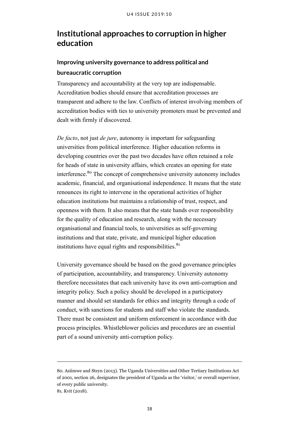## <span id="page-22-0"></span>**Institutional approaches to corruption in higher education**

## **Improving university governance to address political and bureaucratic corruption**

Transparency and accountability at the very top are indispensable. Accreditation bodies should ensure that accreditation processes are transparent and adhere to the law. Conflicts of interest involving members of accreditation bodies with ties to university promoters must be prevented and dealt with firmly if discovered.

*De facto*, not just *de jure*, autonomy is important for safeguarding universities from political interference. Higher education reforms in developing countries over the past two decades have often retained a role for heads of state in university affairs, which creates an opening for state interference.<sup>80</sup> The concept of comprehensive university autonomy includes academic, financial, and organisational independence. It means that the state renounces its right to intervene in the operational activities of higher education institutions but maintains a relationship of trust, respect, and openness with them. It also means that the state hands over responsibility for the quality of education and research, along with the necessary organisational and financial tools, to universities as self-governing institutions and that state, private, and municipal higher education institutions have equal rights and responsibilities. $81$ 

University governance should be based on the good governance principles of participation, accountability, and transparency. University autonomy therefore necessitates that each university have its own anti-corruption and integrity policy. Such a policy should be developed in a participatory manner and should set standards for ethics and integrity through a code of conduct, with sanctions for students and staff who violate the standards. There must be consistent and uniform enforcement in accordance with due process principles. Whistleblower policies and procedures are an essential part of a sound university anti-corruption policy.

<sup>80.</sup> Asiimwe and Steyn (2013). The Uganda Universities and Other Tertiary Institutions Act of 2001, section 26, designates the president of Uganda as the 'visitor,' or overall supervisor, of every public university.

<sup>81.</sup> Kvit (2018).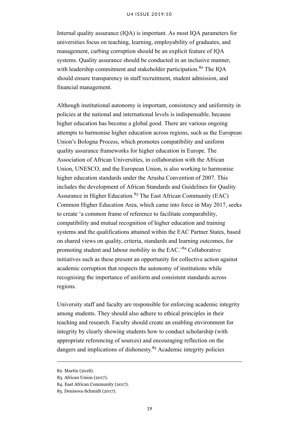Internal quality assurance (IQA) is important. As most IQA parameters for universities focus on teaching, learning, employability of graduates, and management, curbing corruption should be an explicit feature of IQA systems. Quality assurance should be conducted in an inclusive manner, with leadership commitment and stakeholder participation.<sup>82</sup> The IOA should ensure transparency in staff recruitment, student admission, and financial management.

Although institutional autonomy is important, consistency and uniformity in policies at the national and international levels is indispensable, because higher education has become a global good. There are various ongoing attempts to harmonise higher education across regions, such as the [European](http://ec.europa.eu/education/policy/higher-education/bologna-process_en) [Union's Bologna Process,](http://ec.europa.eu/education/policy/higher-education/bologna-process_en) which promotes compatibility and uniform quality assurance frameworks for higher education in Europe. The Association of African Universities, in collaboration with the African Union, UNESCO, and the European Union, is also working to harmonise higher education standards under the Arusha Convention of 2007. This includes the development of African Standards and Guidelines for Quality Assurance in Higher Education.<sup>83</sup> The East African Community (EAC) Common Higher Education Area, which came into force in May 2017, seeks to create 'a common frame of reference to facilitate comparability, compatibility and mutual recognition of higher education and training systems and the qualifications attained within the EAC Partner States, based on shared views on quality, criteria, standards and learning outcomes, for promoting student and labour mobility in the EAC.'<sup>84</sup> Collaborative initiatives such as these present an opportunity for collective action against academic corruption that respects the autonomy of institutions while recognising the importance of uniform and consistent standards across regions.

University staff and faculty are responsible for enforcing academic integrity among students. They should also adhere to ethical principles in their teaching and research. Faculty should create an enabling environment for integrity by clearly showing students how to conduct scholarship (with appropriate referencing of sources) and encouraging reflection on the dangers and implications of dishonesty.<sup>85</sup> Academic integrity policies

<sup>82.</sup> Martin (2018).

<sup>83.</sup> African Union (2017).

<sup>84.</sup> East African Community (2017).

<sup>85.</sup> Denisova-Schmidt (2017).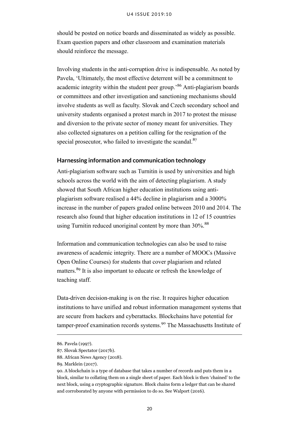should be posted on notice boards and disseminated as widely as possible. Exam question papers and other classroom and examination materials should reinforce the message.

Involving students in the anti-corruption drive is indispensable. As noted by Pavela, 'Ultimately, the most effective deterrent will be a commitment to academic integrity within the student peer group.'<sup>86</sup> Anti-plagiarism boards or committees and other investigation and sanctioning mechanisms should involve students as well as faculty. Slovak and Czech secondary school and university students organised a protest march in 2017 to protest the misuse and diversion to the private sector of money meant for universities. They also collected signatures on a petition calling for the resignation of the special prosecutor, who failed to investigate the scandal.<sup>87</sup>

#### **Harnessing information and communication technology**

Anti-plagiarism software such as Turnitin is used by universities and high schools across the world with the aim of detecting plagiarism. A study showed that South African higher education institutions using antiplagiarism software realised a 44% decline in plagiarism and a 3000% increase in the number of papers graded online between 2010 and 2014. The research also found that higher education institutions in 12 of 15 countries using Turnitin reduced unoriginal content by more than 30%.<sup>88</sup>

Information and communication technologies can also be used to raise awareness of academic integrity. There are a number of MOOCs (Massive Open Online Courses) for students that cover plagiarism and related matters.<sup>89</sup> It is also important to educate or refresh the knowledge of teaching staff.

Data-driven decision-making is on the rise. It requires higher education institutions to have unified and robust information management systems that are secure from hackers and cyberattacks. Blockchains have potential for tamper-proof examination records systems.<sup>90</sup> The Massachusetts Institute of

<sup>86.</sup> Pavela (1997).

<sup>87.</sup> Slovak Spectator (2017b).

<sup>88.</sup> African News Agency (2018).

<sup>89.</sup> Marklein (2017).

<sup>90.</sup> A blockchain is a type of database that takes a number of records and puts them in a block, similar to collating them on a single sheet of paper. Each block is then 'chained' to the next block, using a cryptographic signature. Block chains form a ledger that can be shared and corroborated by anyone with permission to do so. See Walport (2016).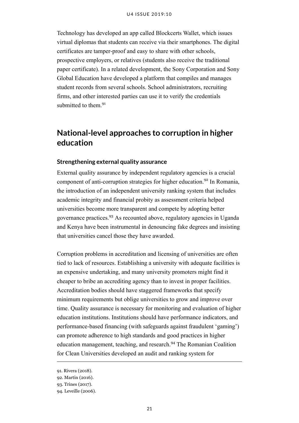Technology has developed an app called Blockcerts Wallet, which issues virtual diplomas that students can receive via their smartphones. The digital certificates are tamper-proof and easy to share with other schools, prospective employers, or relatives (students also receive the traditional paper certificate). In a related development, the Sony Corporation and Sony Global Education have developed a platform that compiles and manages student records from several schools. School administrators, recruiting firms, and other interested parties can use it to verify the credentials submitted to them.<sup>91</sup>

## <span id="page-25-0"></span>**National-level approaches to corruption in higher education**

#### **Strengthening external quality assurance**

External quality assurance by independent regulatory agencies is a crucial component of anti-corruption strategies for higher education.<sup>92</sup> In Romania, the introduction of an independent university ranking system that includes academic integrity and financial probity as assessment criteria helped universities become more transparent and compete by adopting better governance practices.<sup>93</sup> As recounted above, regulatory agencies in Uganda and Kenya have been instrumental in denouncing fake degrees and insisting that universities cancel those they have awarded.

Corruption problems in accreditation and licensing of universities are often tied to lack of resources. Establishing a university with adequate facilities is an expensive undertaking, and many university promoters might find it cheaper to bribe an accrediting agency than to invest in proper facilities. Accreditation bodies should have staggered frameworks that specify minimum requirements but oblige universities to grow and improve over time. Quality assurance is necessary for monitoring and evaluation of higher education institutions. Institutions should have performance indicators, and performance-based financing (with safeguards against fraudulent 'gaming') can promote adherence to high standards and good practices in higher education management, teaching, and research.<sup>94</sup> The Romanian Coalition for Clean Universities developed an audit and ranking system for

<sup>91.</sup> Rivera (2018).

<sup>92.</sup> Martin (2016).

<sup>93.</sup> Trines (2017).

<sup>94.</sup> Leveille (2006).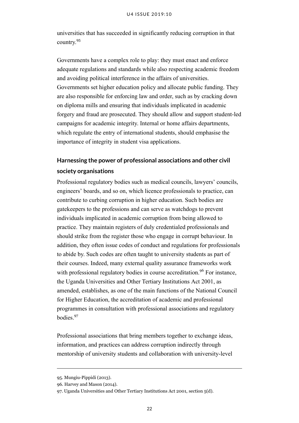universities that has succeeded in significantly reducing corruption in that country. 95

Governments have a complex role to play: they must enact and enforce adequate regulations and standards while also respecting academic freedom and avoiding political interference in the affairs of universities. Governments set higher education policy and allocate public funding. They are also responsible for enforcing law and order, such as by cracking down on diploma mills and ensuring that individuals implicated in academic forgery and fraud are prosecuted. They should allow and support student-led campaigns for academic integrity. Internal or home affairs departments, which regulate the entry of international students, should emphasise the importance of integrity in student visa applications.

## **Harnessing the power of professional associations and other civil society organisations**

Professional regulatory bodies such as medical councils, lawyers' councils, engineers' boards, and so on, which licence professionals to practice, can contribute to curbing corruption in higher education. Such bodies are gatekeepers to the professions and can serve as watchdogs to prevent individuals implicated in academic corruption from being allowed to practice. They maintain registers of duly credentialed professionals and should strike from the register those who engage in corrupt behaviour. In addition, they often issue codes of conduct and regulations for professionals to abide by. Such codes are often taught to university students as part of their courses. Indeed, many external quality assurance frameworks work with professional regulatory bodies in course accreditation.<sup>96</sup> For instance, the Uganda Universities and Other Tertiary Institutions Act 2001, as amended, establishes, as one of the main functions of the National Council for Higher Education, the accreditation of academic and professional programmes in consultation with professional associations and regulatory bodies.<sup>97</sup>

Professional associations that bring members together to exchange ideas, information, and practices can address corruption indirectly through mentorship of university students and collaboration with university-level

<sup>95.</sup> Mungiu-Pippidi (2013).

<sup>96.</sup> Harvey and Mason (2014).

<sup>97.</sup> [Uganda Universities and Other Tertiary Institutions Act 2001,](https://ulii.org/system/files/legislation/act/2001/2001/universities%2520and%2520tertiary%2520institutions%2520Act%25202001.pdf) section 5(d).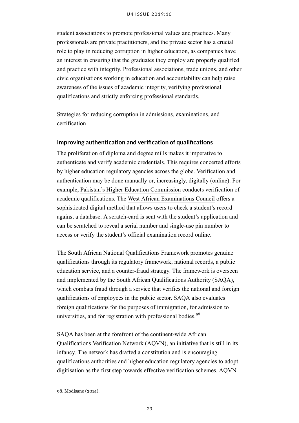student associations to promote professional values and practices. Many professionals are private practitioners, and the private sector has a crucial role to play in reducing corruption in higher education, as companies have an interest in ensuring that the graduates they employ are properly qualified and practice with integrity. Professional associations, trade unions, and other civic organisations working in education and accountability can help raise awareness of the issues of academic integrity, verifying professional qualifications and strictly enforcing professional standards.

Strategies for reducing corruption in admissions, examinations, and certification

#### **Improving authentication and verification of qualifications**

The proliferation of diploma and degree mills makes it imperative to authenticate and verify academic credentials. This requires concerted efforts by higher education regulatory agencies across the globe. Verification and authentication may be done manually or, increasingly, digitally (online). For example, [Pakistan's Higher Education Commission](http://hec.gov.pk/english/services/students/Degree%2520Attestation%2520System/Pages/Degree-Attestation.aspx) conducts verification of academic qualifications. The [West African Examinations Council](https://www.waecdirect.org/) offers a sophisticated digital method that allows users to check a student's record against a database. A scratch-card is sent with the student's application and can be scratched to reveal a serial number and single-use pin number to access or verify the student's official examination record online.

The South African National Qualifications Framework promotes genuine qualifications through its regulatory framework, national records, a public education service, and a counter-fraud strategy. The framework is overseen and implemented by the South African Qualifications Authority (SAQA), which combats fraud through a service that verifies the national and foreign qualifications of employees in the public sector. SAQA also evaluates foreign qualifications for the purposes of immigration, for admission to universities, and for registration with professional bodies.<sup>98</sup>

SAQA has been at the forefront of the continent-wide African Qualifications Verification Network (AQVN), an initiative that is still in its infancy. The network has drafted a constitution and is encouraging qualifications authorities and higher education regulatory agencies to adopt digitisation as the first step towards effective verification schemes. AQVN

<sup>98.</sup> Modisane (2014).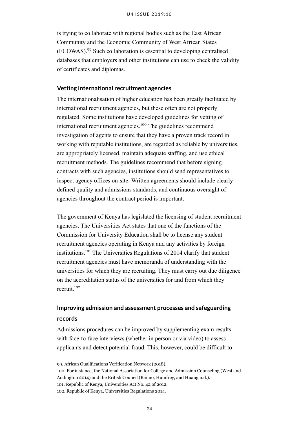is trying to collaborate with regional bodies such as the East African Community and the Economic Community of West African States (ECOWAS).<sup>99</sup> Such collaboration is essential to developing centralised databases that employers and other institutions can use to check the validity of certificates and diplomas.

#### **Vetting international recruitment agencies**

The internationalisation of higher education has been greatly facilitated by international recruitment agencies, but these often are not properly regulated. Some institutions have developed guidelines for vetting of international recruitment agencies.<sup>100</sup> The guidelines recommend investigation of agents to ensure that they have a proven track record in working with reputable institutions, are regarded as reliable by universities, are appropriately licensed, maintain adequate staffing, and use ethical recruitment methods. The guidelines recommend that before signing contracts with such agencies, institutions should send representatives to inspect agency offices on-site. Written agreements should include clearly defined quality and admissions standards, and continuous oversight of agencies throughout the contract period is important.

The government of Kenya has legislated the licensing of student recruitment agencies. The Universities Act states that one of the functions of the Commission for University Education shall be to license any student recruitment agencies operating in Kenya and any activities by foreign institutions.<sup>101</sup> The Universities Regulations of 2014 clarify that student recruitment agencies must have memoranda of understanding with the universities for which they are recruiting. They must carry out due diligence on the accreditation status of the universities for and from which they recruit.<sup>102</sup>

## **Improving admission and assessment processes and safeguarding records**

Admissions procedures can be improved by supplementing exam results with face-to-face interviews (whether in person or via video) to assess applicants and detect potential fraud. This, however, could be difficult to

<sup>99.</sup> African Qualifications Verification Network (2018).

<sup>100.</sup> For instance, the National Association for College and Admission Counseling (West and Addington 2014) and the British Council (Raimo, Humfrey, and Huang n.d.).

<sup>101.</sup> Republic of Kenya, [Universities Act No. 42 of 2012.](http://www.knqa.go.ke/wp-content/uploads/2018/10/Universities-Act-42-of-2012.pdf)

<sup>102.</sup> Republic of Kenya, [Universities Regulations 2014.](http://www.cue.or.ke/index.php/universities-regulations-2014-1?download=8:university-regulations-2014)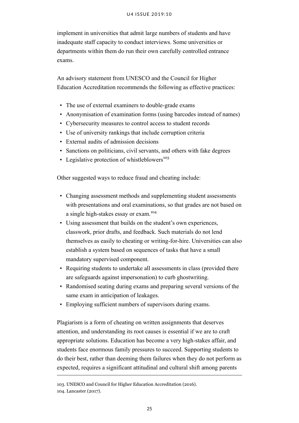implement in universities that admit large numbers of students and have inadequate staff capacity to conduct interviews. Some universities or departments within them do run their own carefully controlled entrance exams.

An advisory statement from UNESCO and the Council for Higher Education Accreditation recommends the following as effective practices:

- The use of external examiners to double-grade exams
- Anonymisation of examination forms (using barcodes instead of names)
- Cybersecurity measures to control access to student records
- Use of university rankings that include corruption criteria
- External audits of admission decisions
- Sanctions on politicians, civil servants, and others with fake degrees
- Legislative protection of whistleblowers<sup>103</sup>

Other suggested ways to reduce fraud and cheating include:

- Changing assessment methods and supplementing student assessments with presentations and oral examinations, so that grades are not based on a single high-stakes essay or exam.<sup>104</sup>
- Using assessment that builds on the student's own experiences, classwork, prior drafts, and feedback. Such materials do not lend themselves as easily to cheating or writing-for-hire. Universities can also establish a system based on sequences of tasks that have a small mandatory supervised component.
- Requiring students to undertake all assessments in class (provided there are safeguards against impersonation) to curb ghostwriting.
- Randomised seating during exams and preparing several versions of the same exam in anticipation of leakages.
- Employing sufficient numbers of supervisors during exams.

Plagiarism is a form of cheating on written assignments that deserves attention, and understanding its root causes is essential if we are to craft appropriate solutions. Education has become a very high-stakes affair, and students face enormous family pressures to succeed. Supporting students to do their best, rather than deeming them failures when they do not perform as expected, requires a significant attitudinal and cultural shift among parents

<sup>103.</sup> UNESCO and Council for Higher Education Accreditation (2016).

<sup>104.</sup> Lancaster (2017).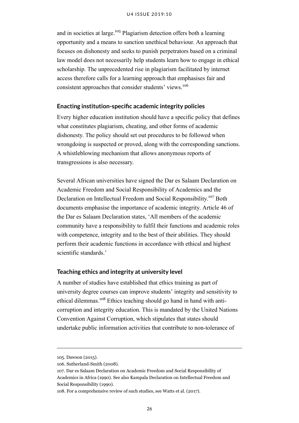and in societies at large.<sup>105</sup> Plagiarism detection offers both a learning opportunity and a means to sanction unethical behaviour. An approach that focuses on dishonesty and seeks to punish perpetrators based on a criminal law model does not necessarily help students learn how to engage in ethical scholarship. The unprecedented rise in plagiarism facilitated by internet access therefore calls for a learning approach that emphasises fair and consistent approaches that consider students' views.<sup>106</sup>

#### **Enacting institution-specific academic integrity policies**

Every higher education institution should have a specific policy that defines what constitutes plagiarism, cheating, and other forms of academic dishonesty. The policy should set out procedures to be followed when wrongdoing is suspected or proved, along with the corresponding sanctions. A whistleblowing mechanism that allows anonymous reports of transgressions is also necessary.

Several African universities have signed the Dar es Salaam Declaration on Academic Freedom and Social Responsibility of Academics and the Declaration on Intellectual Freedom and Social Responsibility.<sup>107</sup> Both documents emphasise the importance of academic integrity. Article 46 of the Dar es Salaam Declaration states, 'All members of the academic community have a responsibility to fulfil their functions and academic roles with competence, integrity and to the best of their abilities. They should perform their academic functions in accordance with ethical and highest scientific standards.'

#### **Teaching ethics and integrity at university level**

A number of studies have established that ethics training as part of university degree courses can improve students' integrity and sensitivity to ethical dilemmas.<sup>108</sup> Ethics teaching should go hand in hand with anticorruption and integrity education. This is mandated by the United Nations Convention Against Corruption, which stipulates that states should undertake public information activities that contribute to non-tolerance of

<sup>105.</sup> Dawson (2015).

<sup>106.</sup> Sutherland-Smith (2008).

<sup>107.</sup> [Dar es Salaam Declaration on Academic Freedom and Social Responsibility of](http://hrlibrary.umn.edu/africa/DARDOK.htm) [Academics in Africa \(1990\).](http://hrlibrary.umn.edu/africa/DARDOK.htm) See also [Kampala Declaration on Intellectual Freedom and](http://hrlibrary.umn.edu/africa/KAMDOK.htm) [Social Responsibility \(1990\).](http://hrlibrary.umn.edu/africa/KAMDOK.htm)

<sup>108.</sup> For a comprehensive review of such studies, see Watts et al. (2017).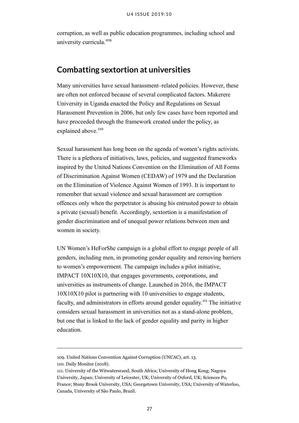corruption, as well as public education programmes, including school and university curricula.<sup>109</sup>

## <span id="page-31-0"></span>**Combatting sextortion at universities**

Many universities have sexual harassment–related policies. However, these are often not enforced because of several complicated factors. Makerere University in Uganda enacted the Policy and Regulations on Sexual Harassment Prevention in 2006, but only few cases have been reported and have proceeded through the framework created under the policy, as explained above.<sup>110</sup>

Sexual harassment has long been on the agenda of women's rights activists. There is a plethora of initiatives, laws, policies, and suggested frameworks inspired by the United Nations Convention on the Elimination of All Forms of Discrimination Against Women (CEDAW) of 1979 and the Declaration on the Elimination of Violence Against Women of 1993. It is important to remember that sexual violence and sexual harassment are corruption offences only when the perpetrator is abusing his entrusted power to obtain a private (sexual) benefit. Accordingly, sextortion is a manifestation of gender discrimination and of unequal power relations between men and women in society.

UN Women's HeForShe campaign is a global effort to engage people of all genders, including men, in promoting gender equality and removing barriers to women's empowerment. The campaign includes a pilot initiative, IMPACT 10X10X10, that engages governments, corporations, and universities as instruments of change. Launched in 2016, the IMPACT 10X10X10 pilot is partnering with 10 universities to engage students, faculty, and administrators in efforts around gender equality.<sup>111</sup> The initiative considers sexual harassment in universities not as a stand-alone problem, but one that is linked to the lack of gender equality and parity in higher education.

<sup>109.</sup> [United Nations Convention Against Corruption \(UNCAC\),](https://www.unodc.org/documents/brussels/UN_Convention_Against_Corruption.pdf) art. 13.

<sup>110.</sup> Daily Monitor (2018).

<sup>111.</sup> University of the Witwatersrand, South Africa; University of Hong Kong; Nagoya University, Japan; University of Leicester, UK; University of Oxford, UK; Sciences Po, France; Stony Brook University, USA; Georgetown University, USA; University of Waterloo, Canada, University of São Paulo, Brazil.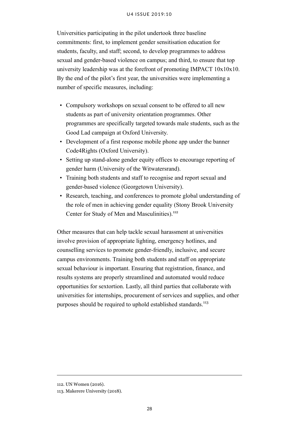Universities participating in the pilot undertook three baseline commitments: first, to implement gender sensitisation education for students, faculty, and staff; second, to develop programmes to address sexual and gender-based violence on campus; and third, to ensure that top university leadership was at the forefront of promoting IMPACT 10x10x10. By the end of the pilot's first year, the universities were implementing a number of specific measures, including:

- Compulsory workshops on sexual consent to be offered to all new students as part of university orientation programmes. Other programmes are specifically targeted towards male students, such as the Good Lad campaign at Oxford University.
- Development of a first response mobile phone app under the banner Code4Rights (Oxford University).
- Setting up stand-alone gender equity offices to encourage reporting of gender harm (University of the Witwatersrand).
- Training both students and staff to recognise and report sexual and gender-based violence (Georgetown University).
- Research, teaching, and conferences to promote global understanding of the role of men in achieving gender equality (Stony Brook University Center for Study of Men and Masculinities).<sup>112</sup>

Other measures that can help tackle sexual harassment at universities involve provision of appropriate lighting, emergency hotlines, and counselling services to promote gender-friendly, inclusive, and secure campus environments. Training both students and staff on appropriate sexual behaviour is important. Ensuring that registration, finance, and results systems are properly streamlined and automated would reduce opportunities for sextortion. Lastly, all third parties that collaborate with universities for internships, procurement of services and supplies, and other purposes should be required to uphold established standards.<sup>113</sup>

<sup>112.</sup> UN Women (2016).

<sup>113.</sup> Makerere University (2018).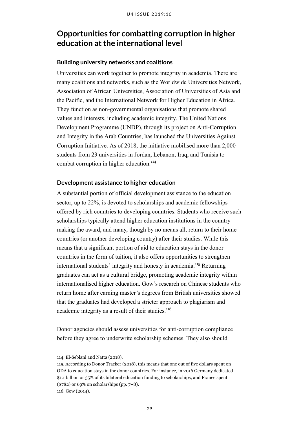## <span id="page-33-0"></span>**Opportunities for combatting corruption in higher education at the international level**

#### **Building university networks and coalitions**

Universities can work together to promote integrity in academia. There are many coalitions and networks, such as the Worldwide Universities Network, Association of African Universities, Association of Universities of Asia and the Pacific, and the International Network for Higher Education in Africa. They function as non-governmental organisations that promote shared values and interests, including academic integrity. The United Nations Development Programme (UNDP), through its project on Anti-Corruption and Integrity in the Arab Countries, has launched the Universities Against Corruption Initiative. As of 2018, the initiative mobilised more than 2,000 students from 23 universities in Jordan, Lebanon, Iraq, and Tunisia to combat corruption in higher education.<sup>114</sup>

#### **Development assistance to higher education**

A substantial portion of official development assistance to the education sector, up to 22%, is devoted to scholarships and academic fellowships offered by rich countries to developing countries. Students who receive such scholarships typically attend higher education institutions in the country making the award, and many, though by no means all, return to their home countries (or another developing country) after their studies. While this means that a significant portion of aid to education stays in the donor countries in the form of tuition, it also offers opportunities to strengthen international students' integrity and honesty in academia.<sup>115</sup> Returning graduates can act as a cultural bridge, promoting academic integrity within internationalised higher education. Gow's research on Chinese students who return home after earning master's degrees from British universities showed that the graduates had developed a stricter approach to plagiarism and academic integrity as a result of their studies.<sup>116</sup>

Donor agencies should assess universities for anti-corruption compliance before they agree to underwrite scholarship schemes. They also should

<sup>114.</sup> El-Seblani and Natta (2018).

<sup>115.</sup> According to Donor Tracker (2018), this means that one out of five dollars spent on ODA to education stays in the donor countries. For instance, in 2016 Germany dedicated \$1.1 billion or 55% of its bilateral education funding to scholarships, and France spent (\$782) or 69% on scholarships (pp. 7–8).

<sup>116.</sup> Gow (2014).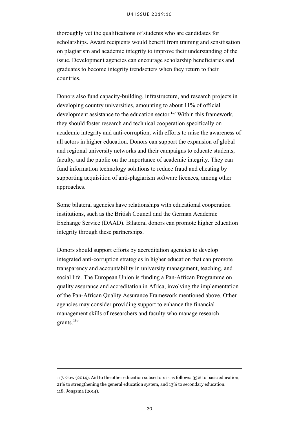thoroughly vet the qualifications of students who are candidates for scholarships. Award recipients would benefit from training and sensitisation on plagiarism and academic integrity to improve their understanding of the issue. Development agencies can encourage scholarship beneficiaries and graduates to become integrity trendsetters when they return to their countries.

Donors also fund capacity-building, infrastructure, and research projects in developing country universities, amounting to about 11% of official development assistance to the education sector.<sup>117</sup> Within this framework, they should foster research and technical cooperation specifically on academic integrity and anti-corruption, with efforts to raise the awareness of all actors in higher education. Donors can support the expansion of global and regional university networks and their campaigns to educate students, faculty, and the public on the importance of academic integrity. They can fund information technology solutions to reduce fraud and cheating by supporting acquisition of anti-plagiarism software licences, among other approaches.

Some bilateral agencies have relationships with educational cooperation institutions, such as the British Council and the German Academic Exchange Service (DAAD). Bilateral donors can promote higher education integrity through these partnerships.

Donors should support efforts by accreditation agencies to develop integrated anti-corruption strategies in higher education that can promote transparency and accountability in university management, teaching, and social life. The European Union is funding a Pan-African Programme on quality assurance and accreditation in Africa, involving the implementation of the Pan-African Quality Assurance Framework mentioned above. Other agencies may consider providing support to enhance the financial management skills of researchers and faculty who manage research grants<sup>118</sup>

<sup>117.</sup> Gow (2014). Aid to the other education subsectors is as follows: 33% to basic education, 21% to strengthening the general education system, and 13% to secondary education. 118. Jongsma (2014).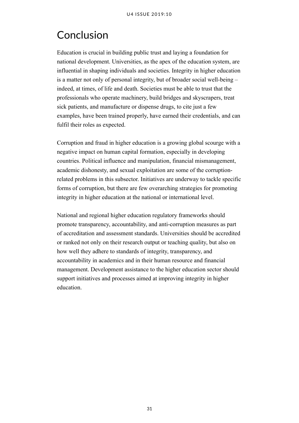## <span id="page-35-0"></span>Conclusion

Education is crucial in building public trust and laying a foundation for national development. Universities, as the apex of the education system, are influential in shaping individuals and societies. Integrity in higher education is a matter not only of personal integrity, but of broader social well-being – indeed, at times, of life and death. Societies must be able to trust that the professionals who operate machinery, build bridges and skyscrapers, treat sick patients, and manufacture or dispense drugs, to cite just a few examples, have been trained properly, have earned their credentials, and can fulfil their roles as expected.

Corruption and fraud in higher education is a growing global scourge with a negative impact on human capital formation, especially in developing countries. Political influence and manipulation, financial mismanagement, academic dishonesty, and sexual exploitation are some of the corruptionrelated problems in this subsector. Initiatives are underway to tackle specific forms of corruption, but there are few overarching strategies for promoting integrity in higher education at the national or international level.

National and regional higher education regulatory frameworks should promote transparency, accountability, and anti-corruption measures as part of accreditation and assessment standards. Universities should be accredited or ranked not only on their research output or teaching quality, but also on how well they adhere to standards of integrity, transparency, and accountability in academics and in their human resource and financial management. Development assistance to the higher education sector should support initiatives and processes aimed at improving integrity in higher education.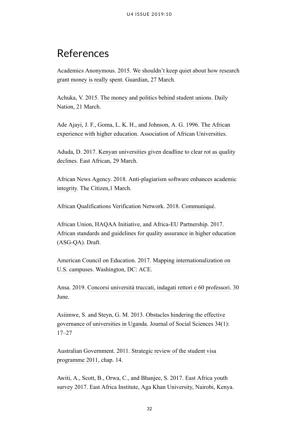## <span id="page-36-0"></span>References

Academics Anonymous. 2015. [We shouldn't keep quiet about how research](https://www.theguardian.com/higher-education-network/2015/mar/27/research-grant-money-spent) [grant money is really spent.](https://www.theguardian.com/higher-education-network/2015/mar/27/research-grant-money-spent) Guardian, 27 March.

Achuka, V. 2015[. The money and politics behind student unions.](https://www.nation.co.ke/news/politics/The-money-and-politics-behind-student-unions/1064-2661876-format-xhtml-fw6csrz/index.html) Daily Nation, 21 March.

Ade Ajayi, J. F., Goma, L. K. H., and Johnson, A. G. 1996. [The African](https://books.google.com/books?id=8DgQAQAAMAAJ&q=The+African+experience+with+higher+education,&dq=The+African+experience+with+higher+education,&hl=en&sa=X&ved=0ahUKEwissN7mpZnjAhUGAZ0JHbxDA0UQ6AEIKjAA) [experience with higher education.](https://books.google.com/books?id=8DgQAQAAMAAJ&q=The+African+experience+with+higher+education,&dq=The+African+experience+with+higher+education,&hl=en&sa=X&ved=0ahUKEwissN7mpZnjAhUGAZ0JHbxDA0UQ6AEIKjAA) Association of African Universities.

Aduda, D. 2017. [Kenyan universities given deadline to clear rot as quality](http://www.theeastafrican.co.ke/news/kenya-universities-deadline-to-clear-rot/2558-3869142-tkusp8z/index.html) [declines.](http://www.theeastafrican.co.ke/news/kenya-universities-deadline-to-clear-rot/2558-3869142-tkusp8z/index.html) East African, 29 March.

African News Agency. 2018. [Anti-plagiarism software enhances academic](https://citizen.co.za/news/south-africa/1841197/anti-plagiarism-software-enhances-academic-integrity/) [integrity.](https://citizen.co.za/news/south-africa/1841197/anti-plagiarism-software-enhances-academic-integrity/) The Citizen,1 March.

African Qualifications Verification Network. 2018. [Communiqué.](http://www.saqa.org.za/docs/webcontent/2017/AQVN%2520Communique%25202.pdf)

African Union, HAQAA Initiative, and Africa-EU Partnership. 2017. [African standards and guidelines for quality assurance in higher education](https://haqaa.aau.org/wp-content/uploads/2018/01/ASG_QA_October-2017_EN.pdf) [\(ASG-QA\).](https://haqaa.aau.org/wp-content/uploads/2018/01/ASG_QA_October-2017_EN.pdf) Draft.

American Council on Education. 2017. [Mapping internationalization on](http://www.acenet.edu/news-room/Documents/Mapping-Internationalization-2017.pdf) [U.S. campuses](http://www.acenet.edu/news-room/Documents/Mapping-Internationalization-2017.pdf). Washington, DC: ACE.

Ansa. 2019. [Concorsi università truccati, indagati rettori e 60 professori.](http://www.ansa.it/sicilia/notizie/2019/06/28/concorsi-truccati-sospesi-il-rettore-delluniversita-di-catania-e-9-professori_4a1ce69a-cc46-4018-bc9d-c72d7f3a24da.html) 30 **June**.

Asiimwe, S. and Steyn, G. M. 2013. [Obstacles hindering the effective](https://www.tandfonline.com/doi/abs/10.1080/09718923.2013.11893114) [governance of universities in Uganda.](https://www.tandfonline.com/doi/abs/10.1080/09718923.2013.11893114) Journal of Social Sciences 34(1): 17–27

Australian Government. 2011. [Strategic review of the student visa](https://archive.homeaffairs.gov.au/ReportsandPublications/Documents/reviews-and-inquiries/2011-knight-review.pdf) [programme 2011](https://archive.homeaffairs.gov.au/ReportsandPublications/Documents/reviews-and-inquiries/2011-knight-review.pdf), chap. 14.

Awiti, A., Scott, B., Orwa, C., and Bhanjee, S. 2017. [East Africa youth](http://data.eadialogueseries.org/) [survey](http://data.eadialogueseries.org/) 2017. East Africa Institute, Aga Khan University, Nairobi, Kenya.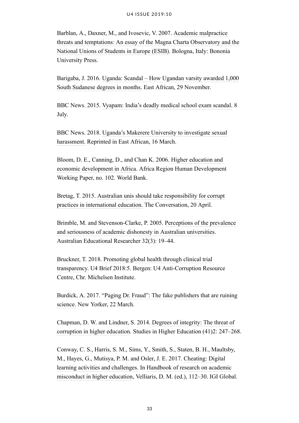Barblan, A., Daxner, M., and Ivosevic, V. 2007. [Academic malpractice](http://www.magna-charta.org/resources/files/academicmalpracticepdf.pdf) [threats and temptations: An essay of the Magna Charta Observatory and the](http://www.magna-charta.org/resources/files/academicmalpracticepdf.pdf) [National Unions of Students in Europe \(ESIB\).](http://www.magna-charta.org/resources/files/academicmalpracticepdf.pdf) Bologna, Italy: Bononia University Press.

Barigaba, J. 2016. [Uganda: Scandal – How Ugandan varsity awarded 1,000](http://allafrica.com/stories/201611290869.html) [South Sudanese degrees in months.](http://allafrica.com/stories/201611290869.html) East African, 29 November.

BBC News. 2015. [Vyapam: India's deadly medical school exam scandal.](http://www.bbc.com/news/world-asia-india-33421572) 8 July.

BBC News. 2018. [Uganda's Makerere University to investigate sexual](http://www.theeastafrican.co.ke/news/Uganda-Makerere-University-investigate-sexual-harassment/2558-4344654-pss35s/index.html) [harassment.](http://www.theeastafrican.co.ke/news/Uganda-Makerere-University-investigate-sexual-harassment/2558-4344654-pss35s/index.html) Reprinted in East African, 16 March.

Bloom, D. E., Canning, D., and Chan K. 2006. [Higher education and](http://siteresources.worldbank.org/INTAFRREGTOPEDUCATION/Resources/444659-1212165766431/ED_Higher_education_economic_development_Africa.pdf) [economic development in Africa.](http://siteresources.worldbank.org/INTAFRREGTOPEDUCATION/Resources/444659-1212165766431/ED_Higher_education_economic_development_Africa.pdf) Africa Region Human Development Working Paper, no. 102. World Bank.

Bretag, T. 2015. [Australian unis should take responsibility for corrupt](https://theconversation.com/australian-unis-should-take-responsibility-for-corrupt-practices-in-international-education-40380) [practices in international education.](https://theconversation.com/australian-unis-should-take-responsibility-for-corrupt-practices-in-international-education-40380) The Conversation, 20 April.

Brimble, M. and Stevenson-Clarke, P. 2005. [Perceptions of the prevalence](https://link.springer.com/article/10.1007/BF03216825) [and seriousness of academic dishonesty in Australian universities.](https://link.springer.com/article/10.1007/BF03216825) Australian Educational Researcher 32(3): 19–44.

Bruckner, T. 2018. [Promoting global health through clinical trial](https://www.u4.no/publications/promoting-global-health-through-clinical-trial-transparency) [transparency.](https://www.u4.no/publications/promoting-global-health-through-clinical-trial-transparency) U4 Brief 2018:5. Bergen: U4 Anti-Corruption Resource Centre, Chr. Michelsen Institute.

Burdick, A. 2017. "[Paging Dr. Fraud": The fake publishers that are ruining](https://www.newyorker.com/tech/elements/paging-dr-fraud-the-fake-publishers-that-are-ruining-science) [science.](https://www.newyorker.com/tech/elements/paging-dr-fraud-the-fake-publishers-that-are-ruining-science) New Yorker, 22 March.

Chapman, D. W. and Lindner, S. 2014. [Degrees of integrity: The threat of](https://www.tandfonline.com/doi/abs/10.1080/03075079.2014.927854) [corruption in higher education](https://www.tandfonline.com/doi/abs/10.1080/03075079.2014.927854). Studies in Higher Education (41)2: 247–268.

Conway, C. S., Harris, S. M., Sims, Y., Smith, S., Staten, B. H., Maultsby, M., Hayes, G., Mutisya, P. M. and Osler, J. E. 2017. [Cheating: Digital](https://www.igi-global.com/chapter/cheating/170091) [learning activities and challenges.](https://www.igi-global.com/chapter/cheating/170091) In [Handbook of research on academic](https://www.igi-global.com/book/handbook-research-academic-misconduct-higher/159000) [misconduct in higher education](https://www.igi-global.com/book/handbook-research-academic-misconduct-higher/159000), Velliaris, D. M. (ed.), 112–30. IGI Global.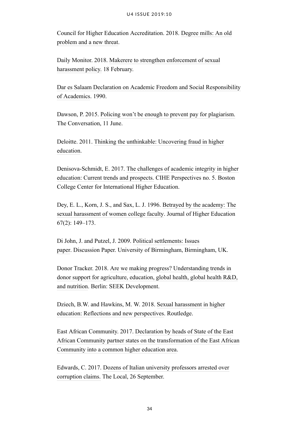Council for Higher Education Accreditation. 2018. [Degree mills: An old](https://www.chea.org/degree-mills-old-problem-new-threat) [problem and a new threat](https://www.chea.org/degree-mills-old-problem-new-threat).

Daily Monitor. 2018. [Makerere to strengthen enforcement of sexual](http://www.monitor.co.ug/News/National/Makerere-to-strengthen-enforcement-of-sexual-harassment-policy/688334-4309636-et4wqcz/index.html) [harassment policy.](http://www.monitor.co.ug/News/National/Makerere-to-strengthen-enforcement-of-sexual-harassment-policy/688334-4309636-et4wqcz/index.html) 18 February.

[Dar es Salaam Declaration on Academic Freedom and Social Responsibility](http://hrlibrary.umn.edu/africa/DARDOK.htm) [of Academics.](http://hrlibrary.umn.edu/africa/DARDOK.htm) 1990.

Dawson, P. 2015. [Policing won't be enough to prevent pay for plagiarism.](https://theconversation.com/policing-wont-be-enough-to-prevent-pay-for-plagiarism-42999) The Conversation, 11 June.

Deloitte. 2011. [Thinking the unthinkable: Uncovering fraud in higher](http://www.cpnq.org/files/pdf/Fraud%2520in%2520higher%2520education.pdf) [education](http://www.cpnq.org/files/pdf/Fraud%2520in%2520higher%2520education.pdf).

Denisova-Schmidt, E. 2017. [The challenges of academic integrity in higher](https://www.bc.edu/content/dam/files/research_sites/cihe/pubs/CIHE%2520Perspective/Perspectives%2520No%25205%2520June%252013%252C%25202017%2520No%2520cropsFINAL.pdf) [education: Current trends and prospects.](https://www.bc.edu/content/dam/files/research_sites/cihe/pubs/CIHE%2520Perspective/Perspectives%2520No%25205%2520June%252013%252C%25202017%2520No%2520cropsFINAL.pdf) CIHE Perspectives no. 5. Boston College Center for International Higher Education.

Dey, E. L., Korn, J. S., and Sax, L. J. 1996. [Betrayed by the academy: The](https://www.tandfonline.com/doi/abs/10.1080/00221546.1996.11780254?journalCode=uhej20) [sexual harassment of women college faculty](https://www.tandfonline.com/doi/abs/10.1080/00221546.1996.11780254?journalCode=uhej20). Journal of Higher Education 67(2): 149–173.

Di John, J. and Putzel, J. 2009. [Political settlements: Issues](http://epapers.bham.ac.uk/645/) [paper](http://epapers.bham.ac.uk/645/). Discussion Paper. University of Birmingham, Birmingham, UK.

Donor Tracker. 2018. [Are we making progress? Understanding trends in](https://donortracker.org/sites/default/files/highlightstories/pdf/DT_HighlightStory_AreWeMakingProgress_March2018_1.pdf) [donor support for agriculture, education, global health, global health R&D,](https://donortracker.org/sites/default/files/highlightstories/pdf/DT_HighlightStory_AreWeMakingProgress_March2018_1.pdf) [and nutrition](https://donortracker.org/sites/default/files/highlightstories/pdf/DT_HighlightStory_AreWeMakingProgress_March2018_1.pdf). Berlin: SEEK Development.

Dziech, B.W. and Hawkins, M. W. 2018. [Sexual harassment in higher](https://www.crcpress.com/Sexual-Harassment-in-Higher-Education-Reflections-and-New-Perspectives/Dziech-Hawkins/p/book/9781138331204) [education: Reflections and new perspectives.](https://www.crcpress.com/Sexual-Harassment-in-Higher-Education-Reflections-and-New-Perspectives/Dziech-Hawkins/p/book/9781138331204) Routledge.

East African Community. 2017. [Declaration by heads of State of the East](http://iucea.org/eahea1/declaration/) [African Community partner states on the transformation of the East African](http://iucea.org/eahea1/declaration/) [Community into a common higher education area.](http://iucea.org/eahea1/declaration/)

Edwards, C. 2017. [Dozens of Italian university professors arrested over](https://www.thelocal.it/20170926/university-teachers-under-house-arrest-over-corruption-after-being-unmasked-by-an-english-academic) [corruption claims.](https://www.thelocal.it/20170926/university-teachers-under-house-arrest-over-corruption-after-being-unmasked-by-an-english-academic) The Local, 26 September.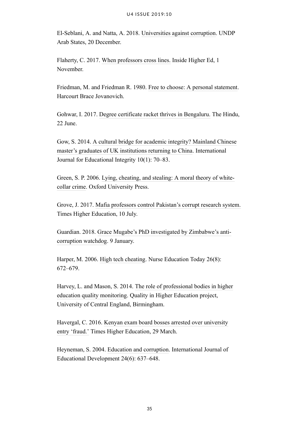El-Seblani, A. and Natta, A. 2018. [Universities against corruption.](http://www.arabstates.undp.org/content/rbas/en/home/ourperspective/ourperspectivearticles/2018/universities-against-corruption.html) UNDP Arab States, 20 December.

Flaherty, C. 2017. [When professors cross lines.](https://www.insidehighered.com/news/2017/11/01/professors-three-campuses-face-disciplinary-action-or-resign-over-harassment) Inside Higher Ed, 1 November.

Friedman, M. and Friedman R. 1980. [Free to choose: A personal statement.](https://books.google.com/books?id=3xO9AAAAIAAJ&source=gbs_book_other_versions) Harcourt Brace Jovanovich.

Gohwar, I. 2017. [Degree certificate racket thrives in Bengaluru.](http://www.thehindu.com/news/cities/bangalore/degree-certificate-racket-thrives-in-bengaluru/article19127959.ece?utm_content=buffer69bc3&utm_medium=social&utm_source=twitter.com&utm_campaign=buffer) The Hindu, 22 June.

Gow, S. 2014. [A cultural bridge for academic integrity? Mainland Chinese](https://ojs.unisa.edu.au/index.php/IJEI/article/view/935) [master's graduates of UK institutions returning to China](https://ojs.unisa.edu.au/index.php/IJEI/article/view/935). International Journal for Educational Integrity 10(1): 70–83.

Green, S. P. 2006. [Lying, cheating, and stealing: A moral theory of white](https://global.oup.com/academic/product/lying-cheating-and-stealing-9780199225804?q=lying%2520cheating%2520stealing&lang=en&cc=us)[collar crime](https://global.oup.com/academic/product/lying-cheating-and-stealing-9780199225804?q=lying%2520cheating%2520stealing&lang=en&cc=us). Oxford University Press.

Grove, J. 2017. [Mafia professors control Pakistan's corrupt research system.](https://www.timeshighereducation.com/news/mafia-professors-control-pakistans-corrupt-research-system) Times Higher Education, 10 July.

Guardian. 2018. [Grace Mugabe's PhD investigated by Zimbabwe's anti](https://www.theguardian.com/world/2018/jan/09/grace-mugabe-phd-investigated-zimbabwe-anti-corruption-watchdog)[corruption watchdog](https://www.theguardian.com/world/2018/jan/09/grace-mugabe-phd-investigated-zimbabwe-anti-corruption-watchdog). 9 January.

Harper, M. 2006. [High tech cheating.](https://www.ncbi.nlm.nih.gov/pubmed/17014934) Nurse Education Today 26(8): 672–679.

Harvey, L. and Mason, S. 2014. [The role of professional bodies in higher](http://www.qualityresearchinternational.com/Harvey%2520papers/Harvey%2520and%2520Mason%2520Professions%25201995%2520%255B2014%255D.pdf) [education quality monitoring.](http://www.qualityresearchinternational.com/Harvey%2520papers/Harvey%2520and%2520Mason%2520Professions%25201995%2520%255B2014%255D.pdf) Quality in Higher Education project, University of Central England, Birmingham.

Havergal, C. 2016. [Kenyan exam board bosses arrested over university](https://www.timeshighereducation.com/news/kenyan-exam-board-bosses-arrested-over-university-entry-fraud) [entry 'fraud.'](https://www.timeshighereducation.com/news/kenyan-exam-board-bosses-arrested-over-university-entry-fraud) Times Higher Education, 29 March.

Heyneman, S. 2004. [Education and corruption](https://www.sciencedirect.com/science/article/pii/S0738059304000343). International Journal of Educational Development 24(6): 637–648.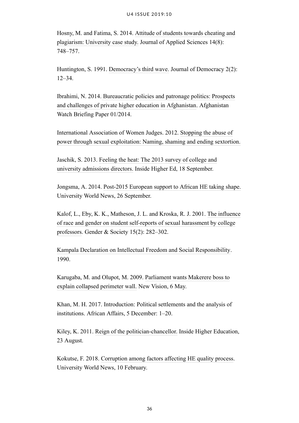Hosny, M. and Fatima, S. 2014. [Attitude of students towards cheating and](http://docsdrive.com/pdfs/ansinet/jas/2014/748-757.pdf) [plagiarism: University case study.](http://docsdrive.com/pdfs/ansinet/jas/2014/748-757.pdf) Journal of Applied Sciences 14(8): 748–757.

Huntington, S. 1991. [Democracy's third wave.](https://www.ned.org/docs/Samuel-P-Huntington-Democracy-Third-Wave.pdf) Journal of Democracy 2(2): 12–34.

Ibrahimi, N. 2014. [Bureaucratic policies and patronage politics: Prospects](https://www.afghanistan-analysts.org/publication/aan-papers/bureaucratic-policies-and-patronage-politics-prospects-and-challenges-of-private-higher-education-in-afghanistan/) [and challenges of private higher education in Afghanistan.](https://www.afghanistan-analysts.org/publication/aan-papers/bureaucratic-policies-and-patronage-politics-prospects-and-challenges-of-private-higher-education-in-afghanistan/) Afghanistan Watch Briefing Paper 01/2014.

International Association of Women Judges. 2012. [Stopping the abuse of](http://www.iawj.org/wp-content/uploads/2017/04/Corruption-and-Sextortion-Resource-1.pdf) [power through sexual exploitation: Naming, shaming and ending sextortion.](http://www.iawj.org/wp-content/uploads/2017/04/Corruption-and-Sextortion-Resource-1.pdf)

Jaschik, S. 2013. [Feeling the heat: The 2013 survey of college and](https://www.insidehighered.com/news/survey/feeling-heat-2013-survey-college-and-university-admissions-directors) [university admissions directors.](https://www.insidehighered.com/news/survey/feeling-heat-2013-survey-college-and-university-admissions-directors) Inside Higher Ed, 18 September.

Jongsma, A. 2014. [Post-2015 European support to African HE taking shape.](http://www.universityworldnews.com/article.php?story=20140925091205558&query=Okebukola) University World News, 26 September.

Kalof, L., Eby, K. K., Matheson, J. L. and Kroska, R. J. 2001. [The influence](https://journals.sagepub.com/doi/abs/10.1177/089124301015002007) [of race and gender on student self-reports of sexual harassment by college](https://journals.sagepub.com/doi/abs/10.1177/089124301015002007) [professors.](https://journals.sagepub.com/doi/abs/10.1177/089124301015002007) Gender & Society 15(2): 282–302.

[Kampala Declaration on Intellectual Freedom and Social Responsibility.](http://hrlibrary.umn.edu/africa/KAMDOK.htm) 1990.

Karugaba, M. and Olupot, M. 2009. [Parliament wants Makerere boss to](https://www.newvision.co.ug/new_vision/news/1221457/parliament-makerere-boss-explain-collapsed-perimeter-wall) [explain collapsed perimeter wall.](https://www.newvision.co.ug/new_vision/news/1221457/parliament-makerere-boss-explain-collapsed-perimeter-wall) New Vision, 6 May.

Khan, M. H. 2017. Introduction: Political settlements and the analysis of institutions. African Affairs, 5 December: 1–20.

Kiley, K. 2011. [Reign of the politician-chancellor.](https://www.insidehighered.com/news/2011/08/23/reign-politician-chancellor) Inside Higher Education, 23 August.

Kokutse, F. 2018. [Corruption among factors affecting HE quality process.](https://www.universityworldnews.com/post.php?story=20180210135015347) University World News, 10 February.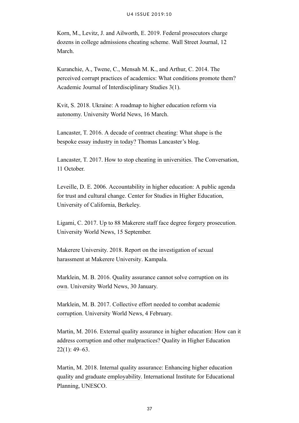Korn, M., Levitz, J. and Ailworth, E. 2019. [Federal prosecutors charge](https://www.wsj.com/articles/federal-prosecutors-charge-dozens-in-broad-college-admissions-fraud-scheme-11552403149) [dozens in college admissions cheating scheme.](https://www.wsj.com/articles/federal-prosecutors-charge-dozens-in-broad-college-admissions-fraud-scheme-11552403149) Wall Street Journal, 12 March.

Kuranchie, A., Twene, C., Mensah M. K., and Arthur, C. 2014. [The](https://www.mcser.org/journal/index.php/ajis/article/view/2078) [perceived corrupt practices of academics: What conditions promote them?](https://www.mcser.org/journal/index.php/ajis/article/view/2078) Academic Journal of Interdisciplinary Studies 3(1).

Kvit, S. 2018. [Ukraine: A roadmap to higher education reform via](http://www.universityworldnews.com/article.php?story=20180316092127837) [autonomy.](http://www.universityworldnews.com/article.php?story=20180316092127837) University World News, 16 March.

Lancaster, T. 2016. [A decade of contract cheating: What shape is the](http://thomaslancaster.co.uk/blog/a-decade-of-contract-cheating-what-shape-is-the-bespoke-essay-in-industry-today/) [bespoke essay industry in today?](http://thomaslancaster.co.uk/blog/a-decade-of-contract-cheating-what-shape-is-the-bespoke-essay-in-industry-today/) Thomas Lancaster's blog.

Lancaster, T. 2017. [How to stop cheating in universities.](https://theconversation.com/how-to-stop-cheating-in-universities-85407) The Conversation, 11 October.

Leveille, D. E. 2006. [Accountability in higher education: A public agenda](https://cshe.berkeley.edu/publications/accountability-higher-educationa-public-agenda-trust-and-cultural-change) [for trust and cultural change.](https://cshe.berkeley.edu/publications/accountability-higher-educationa-public-agenda-trust-and-cultural-change) Center for Studies in Higher Education, University of California, Berkeley.

Ligami, C. 2017. [Up to 88 Makerere staff face degree forgery prosecution.](http://www.universityworldnews.com/article.php?story=20170915135929598&utm_content=bufferc315f&utm_medium=social&utm_source=twitter.com&utm_campaign=buffer) University World News, 15 September.

Makerere University. 2018. [Report on the investigation of sexual](https://news.mak.ac.ug/sites/default/files/downloads/Makerere-Committee-Investigating-Sexual-Harassment-FINAL-Report-June2018.pdf) [harassment at Makerere University.](https://news.mak.ac.ug/sites/default/files/downloads/Makerere-Committee-Investigating-Sexual-Harassment-FINAL-Report-June2018.pdf) Kampala.

Marklein, M. B. 2016. [Quality assurance cannot solve corruption on its](http://www.universityworldnews.com/article.php?story=20160130005848512) [own](http://www.universityworldnews.com/article.php?story=20160130005848512). University World News, 30 January.

Marklein, M. B. 2017. [Collective effort needed to combat academic](http://www.universityworldnews.com/article.php?story=20170204061140738&query=corruption) [corruption.](http://www.universityworldnews.com/article.php?story=20170204061140738&query=corruption) University World News, 4 February.

Martin, M. 2016. [External quality assurance in higher education: How can it](https://srhe.tandfonline.com/doi/abs/10.1080/13538322.2016.1144903#.XSH1zOtKhaQ) [address corruption and other malpractices?](https://srhe.tandfonline.com/doi/abs/10.1080/13538322.2016.1144903#.XSH1zOtKhaQ) Quality in Higher Education  $22(1)$ : 49–63.

Martin, M. 2018. [Internal quality assurance: Enhancing higher education](http://pmb.cereq.fr/doc_num.php?explnum_id=4254) [quality and graduate employability.](http://pmb.cereq.fr/doc_num.php?explnum_id=4254) International Institute for Educational Planning, UNESCO.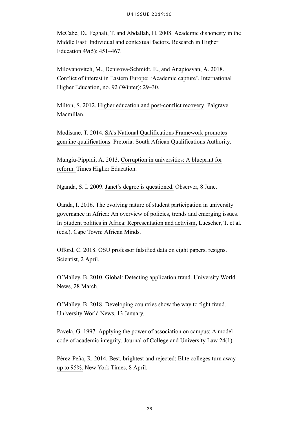McCabe, D., Feghali, T. and Abdallah, H. 2008. [Academic dishonesty in the](https://link.springer.com/article/10.1007/s11162-008-9092-9) [Middle East: Individual and contextual factors](https://link.springer.com/article/10.1007/s11162-008-9092-9). Research in Higher Education 49(5): 451–467.

Milovanovitch, M., Denisova-Schmidt, E., and Anapiosyan, A. 2018. [Conflict of interest in Eastern Europe: 'Academic capture](https://ejournals.bc.edu/ojs/index.php/ihe/article/view/10289.)'. International Higher Education, no. 92 (Winter): 29–30.

Milton, S. 2012. [Higher education and post-conflict recovery.](https://www.springer.com/us/book/9783319653488?utm_campaign=3_pier05_buy_print&utm_content=en_08082017&utm_medium=referral&utm_source=google_books#otherversion=9783319653495) Palgrave Macmillan.

Modisane, T. 2014. [SA's National Qualifications Framework promotes](http://www.saqa.org.za/show.php?id=6712) [genuine qualifications.](http://www.saqa.org.za/show.php?id=6712) Pretoria: South African Qualifications Authority.

Mungiu-Pippidi, A. 2013. [Corruption in universities: A blueprint for](https://www.timeshighereducation.com/comment/opinion/corruption-in-universities-a-blueprint-for-reform/2009139.article) [reform.](https://www.timeshighereducation.com/comment/opinion/corruption-in-universities-a-blueprint-for-reform/2009139.article) Times Higher Education.

Nganda, S. I. 2009. [Janet's degree is questioned.](http://www.observer.ug/news/headlines/3693-janets-degree-is-questioned) Observer, 8 June.

Oanda, I. 2016. The evolving nature of student participation in university governance in Africa: An overview of policies, trends and emerging issues. In [Student politics in Africa: Representation and activism,](http://www.africanbookscollective.com/books/student-politics-in-africa) Luescher, T. et al. (eds.). Cape Town: African Minds.

Offord, C. 2018. [OSU professor falsified data on eight papers, resigns](https://www.the-scientist.com/the-nutshell/osu-professor-falsified-data-on-eight-papers-resigns-29849). Scientist, 2 April.

O'Malley, B. 2010. [Global: Detecting application fraud.](https://www.universityworldnews.com/post.php?story=20100326124132375) University World News, 28 March.

O'Malley, B. 2018. [Developing countries show the way to fight fraud.](http://www.universityworldnews.com/article.php?story=20180113050608736) University World News, 13 January.

Pavela, G. 1997. [Applying the power of association on campus: A model](https://academicintegrity.org/wp-content/uploads/2018/02/model_code.pdf) [code of academic integrity.](https://academicintegrity.org/wp-content/uploads/2018/02/model_code.pdf) Journal of College and University Law 24(1).

Pérez-Peña, R. 2014. [Best, brightest and rejected: Elite colleges turn away](https://www.nytimes.com/2014/04/09/us/led-by-stanfords-5-top-colleges-acceptance-rates-hit-new-lows.html) [up to 95%.](https://www.nytimes.com/2014/04/09/us/led-by-stanfords-5-top-colleges-acceptance-rates-hit-new-lows.html) New York Times, 8 April.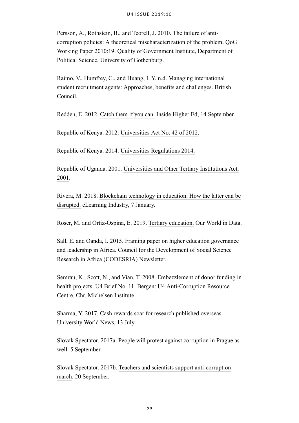Persson, A., Rothstein, B., and Teorell, J. 2010. [The failure of anti](https://qog.pol.gu.se/digitalAssets/1350/1350163_2010_19_persson_rothstein_teorell.pdf)[corruption policies: A theoretical mischaracterization of the problem.](https://qog.pol.gu.se/digitalAssets/1350/1350163_2010_19_persson_rothstein_teorell.pdf) QoG Working Paper 2010:19. Quality of Government Institute, Department of Political Science, University of Gothenburg.

Raimo, V., Humfrey, C., and Huang, I. Y. n.d. [Managing international](https://www.britishcouncil.org/sites/default/files/managing_education_agents_report_for_bc_2.pdf) [student recruitment agents: Approaches, benefits and challenges.](https://www.britishcouncil.org/sites/default/files/managing_education_agents_report_for_bc_2.pdf) British Council.

Redden, E. 2012. [Catch them if you can.](http://www.insidehighered.com/news/2012/09/14/international-educators-discuss-problem-fraud#ixzz26QjwbL1d) Inside Higher Ed, 14 September.

Republic of Kenya. 2012. [Universities Act No. 42 of 2012](http://www.knqa.go.ke/wp-content/uploads/2018/10/Universities-Act-42-of-2012.pdf).

Republic of Kenya. 2014. [Universities Regulations 2014.](http://www.cue.or.ke/index.php/universities-regulations-2014-1?download=8:university-regulations-2014)

Republic of Uganda. 2001. [Universities and Other Tertiary Institutions Act,](https://ulii.org/system/files/legislation/act/2001/2001/universities%2520and%2520tertiary%2520institutions%2520Act%25202001.pdf) [2001](https://ulii.org/system/files/legislation/act/2001/2001/universities%2520and%2520tertiary%2520institutions%2520Act%25202001.pdf).

Rivera, M. 2018. [Blockchain technology in education: How the latter can be](https://elearningindustry.com/blockchain-technology-in-education-latter-can-disrupted) [disrupted.](https://elearningindustry.com/blockchain-technology-in-education-latter-can-disrupted) eLearning Industry, 7 January.

Roser, M. and Ortiz-Ospina, E. 2019. [Tertiary education.](https://ourworldindata.org/tertiary-education) Our World in Data.

Sall, E. and Oanda, I. 2015. [Framing paper on higher education governance](https://www.codesria.org/spip.php?article2296) [and leadership in Africa.](https://www.codesria.org/spip.php?article2296) Council for the Development of Social Science Research in Africa (CODESRIA) Newsletter.

Semrau, K., Scott, N., and Vian, T. 2008. [Embezzlement of donor funding in](https://www.cmi.no/publications/file/3031-embezzlement-of-donor-funding-in-health-projects.pdf) [health projects.](https://www.cmi.no/publications/file/3031-embezzlement-of-donor-funding-in-health-projects.pdf) U4 Brief No. 11. Bergen: U4 Anti-Corruption Resource Centre, Chr. Michelsen Institute

Sharma, Y. 2017. [Cash rewards soar for research published overseas.](http://www.universityworldnews.com/article.php?story=20170713161438362) University World News, 13 July.

Slovak Spectator. 2017a. [People will protest against corruption in Prague as](https://spectator.sme.sk/c/20642020/people-will-protest-against-corruption-in-prague-as-well.html) [well](https://spectator.sme.sk/c/20642020/people-will-protest-against-corruption-in-prague-as-well.html). 5 September.

Slovak Spectator. 2017b. [Teachers and scientists support anti-corruption](https://spectator.sme.sk/c/20653433/teachers-and-scientist-support-anti-corruption-march.html) [march](https://spectator.sme.sk/c/20653433/teachers-and-scientist-support-anti-corruption-march.html). 20 September.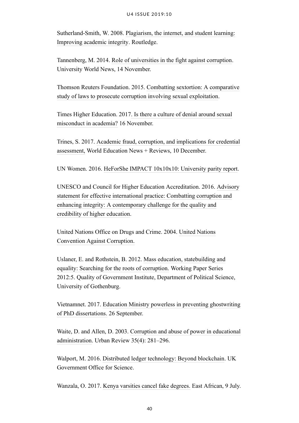Sutherland-Smith, W. 2008. [Plagiarism, the internet, and student learning:](https://ebookppsunp.files.wordpress.com/2016/06/wendy-sutherland-smith-plagiarism-the-internet-and-student-learning-improving-academic-integrity-2008.pdf) [Improving academic integrity](https://ebookppsunp.files.wordpress.com/2016/06/wendy-sutherland-smith-plagiarism-the-internet-and-student-learning-improving-academic-integrity-2008.pdf). Routledge.

Tannenberg, M. 2014. [Role of universities in the fight against corruption.](http://www.universityworldnews.com/article.php?story=20141113110707222) University World News, 14 November.

Thomson Reuters Foundation. 2015. [Combatting sextortion: A comparative](https://www.trust.org/publications/i/?id=588013e6-2f99-4d54-8dd8-9a65ae2e0802) [study of laws to prosecute corruption involving sexual exploitation.](https://www.trust.org/publications/i/?id=588013e6-2f99-4d54-8dd8-9a65ae2e0802)

Times Higher Education. 2017[. Is there a culture of denial around sexual](https://www.timeshighereducation.com/features/there-culture-denial-around-sexual-misconduct-academia) [misconduct in academia?](https://www.timeshighereducation.com/features/there-culture-denial-around-sexual-misconduct-academia) 16 November.

Trines, S. 2017. [Academic fraud, corruption, and implications for credential](https://wenr.wes.org/2017/12/academic-fraud-corruption-and-implications-for-credential-assessment#_ftn4) [assessment,](https://wenr.wes.org/2017/12/academic-fraud-corruption-and-implications-for-credential-assessment#_ftn4) World Education News + Reviews, 10 December.

UN Women. 2016. [HeForShe IMPACT 10x10x10: University parity report](http://www.unwomen.org/en/news/stories/2016/9/press-release-heforshe-university-parity-report).

UNESCO and Council for Higher Education Accreditation. 2016. [Advisory](http://unesdoc.unesco.org/images/0024/002494/249460E.pdf) [statement for effective international practice: Combatting corruption and](http://unesdoc.unesco.org/images/0024/002494/249460E.pdf) [enhancing integrity: A contemporary challenge for the quality and](http://unesdoc.unesco.org/images/0024/002494/249460E.pdf) [credibility of higher education](http://unesdoc.unesco.org/images/0024/002494/249460E.pdf).

United Nations Office on Drugs and Crime. 2004. [United Nations](https://www.unodc.org/documents/brussels/UN_Convention_Against_Corruption.pdf) [Convention Against Corruption.](https://www.unodc.org/documents/brussels/UN_Convention_Against_Corruption.pdf)

Uslaner, E. and Rothstein, B. 2012. [Mass education, statebuilding and](https://gupea.ub.gu.se/bitstream/2077/38980/1/gupea_2077_38980_1.pdf) [equality: Searching for the roots of corruption.](https://gupea.ub.gu.se/bitstream/2077/38980/1/gupea_2077_38980_1.pdf) Working Paper Series 2012:5. Quality of Government Institute, Department of Political Science, University of Gothenburg.

Vietnamnet. 2017. [Education Ministry powerless in preventing ghostwriting](http://english.vietnamnet.vn/fms/education/186946/education-ministry-powerless-in-preventing-ghostwriting-of-phd-dissertations.html) [of PhD dissertations.](http://english.vietnamnet.vn/fms/education/186946/education-ministry-powerless-in-preventing-ghostwriting-of-phd-dissertations.html) 26 September.

Waite, D. and Allen, D. 2003. [Corruption and abuse of power in educational](https://link.springer.com/article/10.1023/B:URRE.0000017531.73129.4f) [administration.](https://link.springer.com/article/10.1023/B:URRE.0000017531.73129.4f) Urban Review 35(4): 281–296.

Walport, M. 2016. [Distributed ledger technology: Beyond blockchain](https://assets.publishing.service.gov.uk/government/uploads/system/uploads/attachment_data/file/492972/gs-16-1-distributed-ledger-technology.pdf). UK Government Office for Science.

Wanzala, O. 2017. [Kenya varsities cancel fake degrees.](http://www.theeastafrican.co.ke/news/Kenya-varsities-cancel-fake-degrees/2558-4007612-6tb8dq/index.html) East African, 9 July.